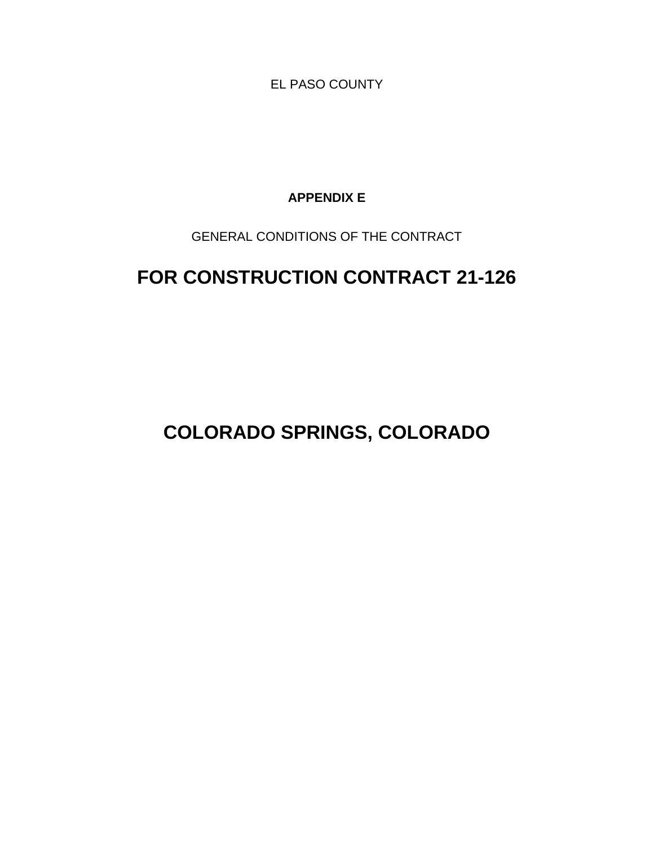EL PASO COUNTY

**APPENDIX E**

GENERAL CONDITIONS OF THE CONTRACT

# **FOR CONSTRUCTION CONTRACT 21-126**

**COLORADO SPRINGS, COLORADO**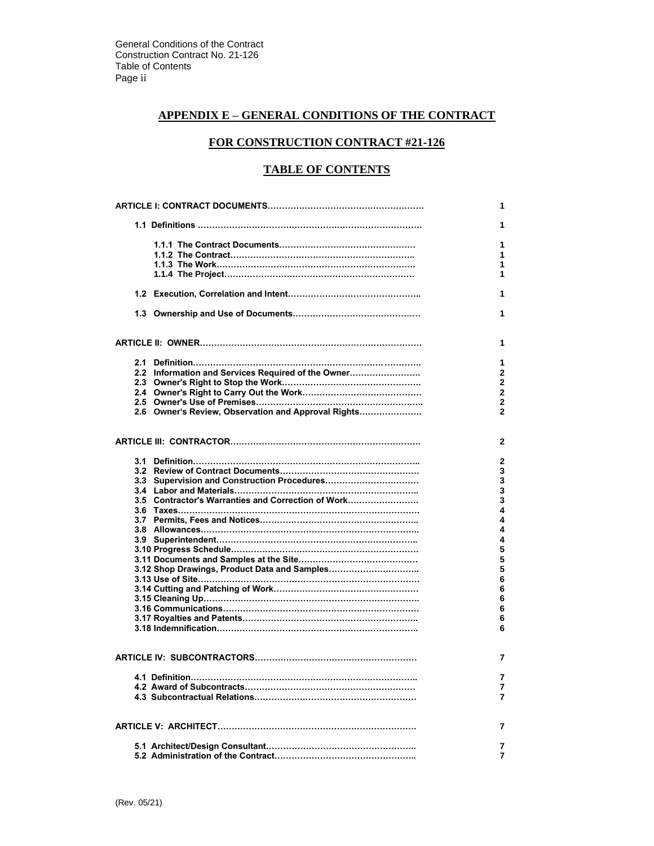# **APPENDIX E – GENERAL CONDITIONS OF THE CONTRACT**

# **FOR CONSTRUCTION CONTRACT #21-126**

# **TABLE OF CONTENTS**

|                                                     | 1              |
|-----------------------------------------------------|----------------|
|                                                     | 1              |
|                                                     | 1              |
|                                                     | 1              |
|                                                     | 1              |
|                                                     | 1              |
|                                                     |                |
|                                                     | 1              |
|                                                     | 1              |
|                                                     | 1              |
|                                                     |                |
|                                                     | 1              |
| 2.2 Information and Services Required of the Owner  | $\overline{2}$ |
|                                                     | $\overline{2}$ |
|                                                     | $\overline{2}$ |
|                                                     | $\overline{2}$ |
| 2.6 Owner's Review, Observation and Approval Rights | $\overline{2}$ |
|                                                     | 2              |
|                                                     | 2              |
|                                                     | 3              |
|                                                     | 3              |
|                                                     | 3              |
| 3.5 Contractor's Warranties and Correction of Work  | 3              |
|                                                     | 4              |
|                                                     | 4              |
|                                                     | 4              |
|                                                     | 4              |
|                                                     | 5              |
|                                                     | 5              |
|                                                     | 5              |
|                                                     | 6              |
|                                                     | 6              |
|                                                     | 6              |
|                                                     | 6              |
|                                                     | 6              |
|                                                     | 6              |
|                                                     | 7              |
|                                                     |                |
|                                                     | 7              |
|                                                     | 7              |
|                                                     | 7              |
|                                                     | 7              |
|                                                     | 7              |
|                                                     | 7              |
|                                                     |                |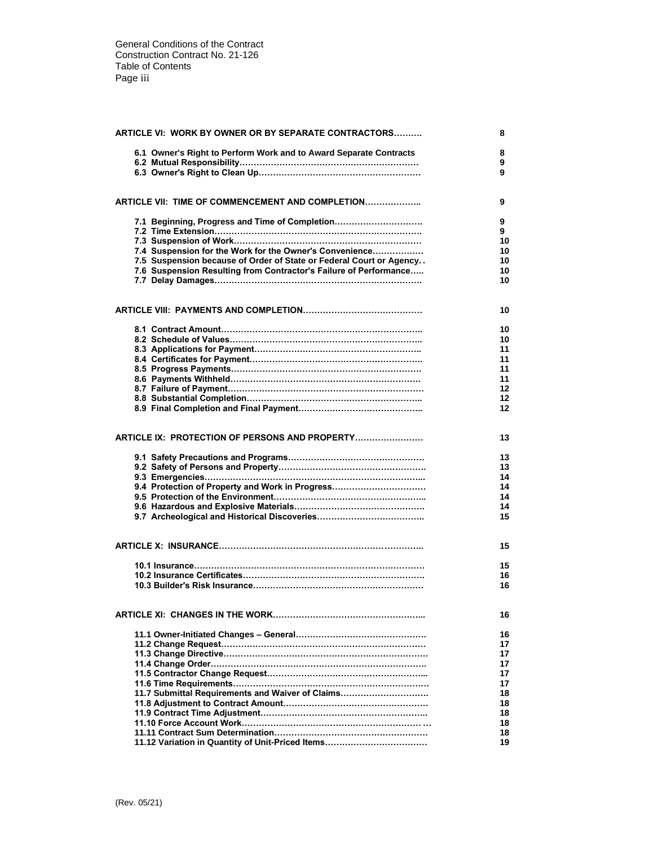| <b>ARTICLE VI: WORK BY OWNER OR BY SEPARATE CONTRACTORS</b>         |          |  |
|---------------------------------------------------------------------|----------|--|
| 6.1 Owner's Right to Perform Work and to Award Separate Contracts   | 8<br>9   |  |
|                                                                     | 9        |  |
|                                                                     |          |  |
| ARTICLE VII: TIME OF COMMENCEMENT AND COMPLETION                    | 9        |  |
| 7.1 Beginning, Progress and Time of Completion                      | 9        |  |
|                                                                     | 9        |  |
|                                                                     | 10       |  |
| 7.4 Suspension for the Work for the Owner's Convenience             | 10       |  |
| 7.5 Suspension because of Order of State or Federal Court or Agency | 10       |  |
| 7.6 Suspension Resulting from Contractor's Failure of Performance   | 10<br>10 |  |
|                                                                     |          |  |
|                                                                     |          |  |
|                                                                     | 10       |  |
|                                                                     | 10       |  |
|                                                                     | 10       |  |
|                                                                     | 11       |  |
|                                                                     | 11       |  |
|                                                                     | 11       |  |
|                                                                     | 11       |  |
|                                                                     | 12       |  |
|                                                                     | 12       |  |
|                                                                     | 12       |  |
|                                                                     |          |  |
| ARTICLE IX: PROTECTION OF PERSONS AND PROPERTY                      | 13       |  |
|                                                                     | 13       |  |
|                                                                     | 13       |  |
|                                                                     | 14       |  |
| 9.4 Protection of Property and Work in Progress                     | 14       |  |
|                                                                     | 14       |  |
|                                                                     | 14       |  |
|                                                                     | 15       |  |
|                                                                     |          |  |
|                                                                     | 15       |  |
|                                                                     |          |  |
|                                                                     | 15       |  |
|                                                                     | 16       |  |
|                                                                     | 16       |  |
|                                                                     |          |  |
|                                                                     | 16       |  |
|                                                                     | 16       |  |
|                                                                     | 17       |  |
|                                                                     | 17       |  |
|                                                                     | 17       |  |
|                                                                     | 17       |  |
|                                                                     | 17       |  |
| 11.7 Submittal Requirements and Waiver of Claims                    | 18<br>18 |  |
|                                                                     | 18       |  |
|                                                                     | 18       |  |
|                                                                     | 18       |  |
| 11.12 Variation in Quantity of Unit-Priced Items                    | 19       |  |
|                                                                     |          |  |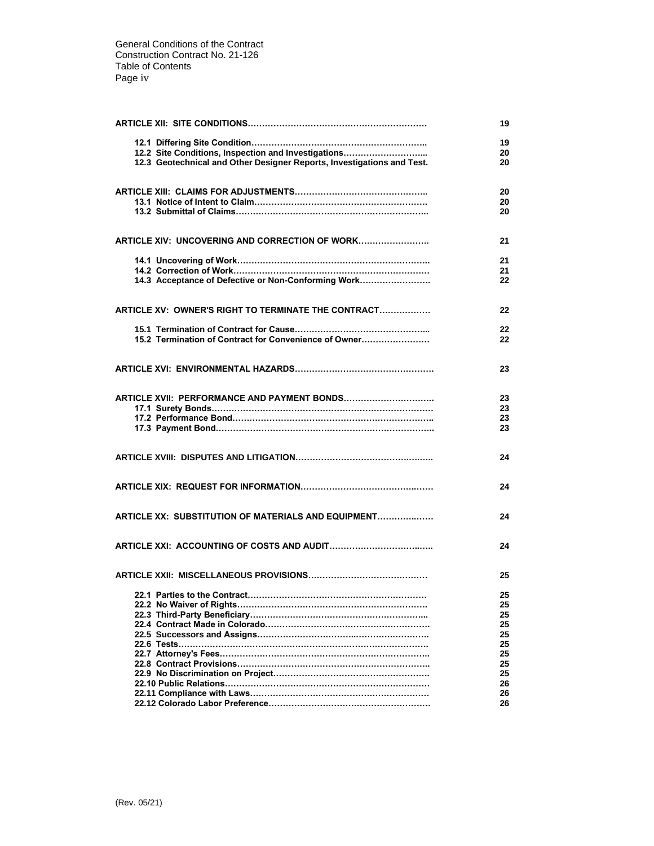|                                                                        | 19       |
|------------------------------------------------------------------------|----------|
| 12.2 Site Conditions, Inspection and Investigations                    | 19<br>20 |
| 12.3 Geotechnical and Other Designer Reports, Investigations and Test. | 20       |
|                                                                        | 20<br>20 |
|                                                                        | 20       |
| <b>ARTICLE XIV: UNCOVERING AND CORRECTION OF WORK</b>                  | 21       |
|                                                                        | 21<br>21 |
| 14.3 Acceptance of Defective or Non-Conforming Work                    | 22       |
| ARTICLE XV: OWNER'S RIGHT TO TERMINATE THE CONTRACT                    | 22       |
| 15.2 Termination of Contract for Convenience of Owner                  | 22<br>22 |
|                                                                        |          |
|                                                                        | 23       |
|                                                                        | 23       |
|                                                                        | 23       |
|                                                                        | 23<br>23 |
|                                                                        |          |
|                                                                        | 24       |
|                                                                        | 24       |
| ARTICLE XX: SUBSTITUTION OF MATERIALS AND EQUIPMENT                    | 24       |
|                                                                        | 24       |
|                                                                        | 25       |
| 22.1 Parties to the Contract.                                          | 25       |
|                                                                        | 25       |
|                                                                        | 25<br>25 |
|                                                                        | 25       |
|                                                                        | 25       |
| 22.7 Attorney's Fees……………………………………………………………                            | 25       |
|                                                                        | 25       |
|                                                                        | 25<br>26 |
|                                                                        | 26       |
|                                                                        | 26       |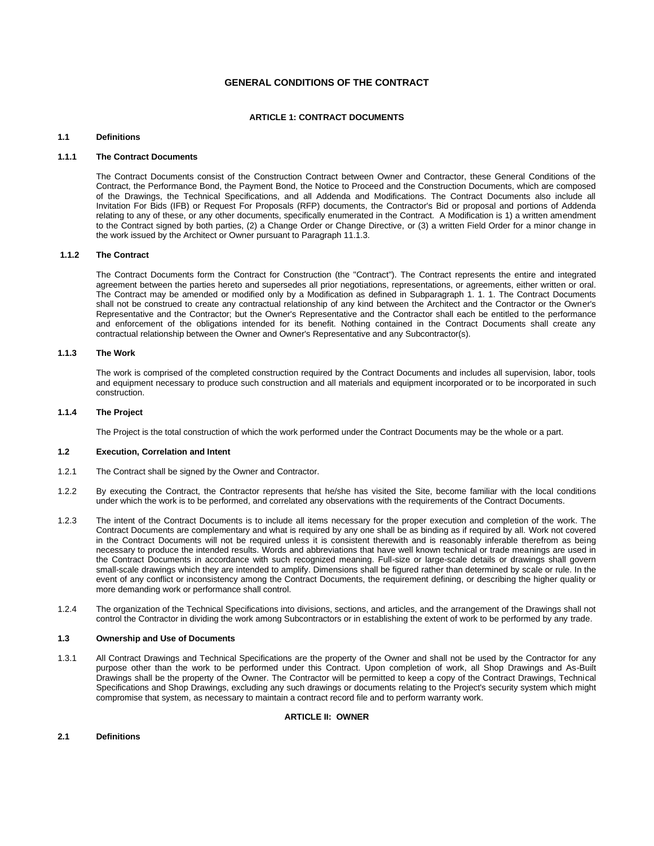# **GENERAL CONDITIONS OF THE CONTRACT**

# **ARTICLE 1: CONTRACT DOCUMENTS**

# **1.1 Definitions**

# **1.1.1 The Contract Documents**

The Contract Documents consist of the Construction Contract between Owner and Contractor, these General Conditions of the Contract, the Performance Bond, the Payment Bond, the Notice to Proceed and the Construction Documents, which are composed of the Drawings, the Technical Specifications, and all Addenda and Modifications. The Contract Documents also include all Invitation For Bids (IFB) or Request For Proposals (RFP) documents, the Contractor's Bid or proposal and portions of Addenda relating to any of these, or any other documents, specifically enumerated in the Contract. A Modification is 1) a written amendment to the Contract signed by both parties, (2) a Change Order or Change Directive, or (3) a written Field Order for a minor change in the work issued by the Architect or Owner pursuant to Paragraph 11.1.3.

### **1.1.2 The Contract**

The Contract Documents form the Contract for Construction (the "Contract"). The Contract represents the entire and integrated agreement between the parties hereto and supersedes all prior negotiations, representations, or agreements, either written or oral. The Contract may be amended or modified only by a Modification as defined in Subparagraph 1. 1. 1. The Contract Documents shall not be construed to create any contractual relationship of any kind between the Architect and the Contractor or the Owner's Representative and the Contractor; but the Owner's Representative and the Contractor shall each be entitled to the performance and enforcement of the obligations intended for its benefit. Nothing contained in the Contract Documents shall create any contractual relationship between the Owner and Owner's Representative and any Subcontractor(s).

# **1.1.3 The Work**

The work is comprised of the completed construction required by the Contract Documents and includes all supervision, labor, tools and equipment necessary to produce such construction and all materials and equipment incorporated or to be incorporated in such construction.

# **1.1.4 The Project**

The Project is the total construction of which the work performed under the Contract Documents may be the whole or a part.

# **1.2 Execution, Correlation and Intent**

- 1.2.1 The Contract shall be signed by the Owner and Contractor.
- 1.2.2 By executing the Contract, the Contractor represents that he/she has visited the Site, become familiar with the local conditions under which the work is to be performed, and correlated any observations with the requirements of the Contract Documents.
- 1.2.3 The intent of the Contract Documents is to include all items necessary for the proper execution and completion of the work. The Contract Documents are complementary and what is required by any one shall be as binding as if required by all. Work not covered in the Contract Documents will not be required unless it is consistent therewith and is reasonably inferable therefrom as being necessary to produce the intended results. Words and abbreviations that have well known technical or trade meanings are used in the Contract Documents in accordance with such recognized meaning. Full-size or large-scale details or drawings shall govern small-scale drawings which they are intended to amplify. Dimensions shall be figured rather than determined by scale or rule. In the event of any conflict or inconsistency among the Contract Documents, the requirement defining, or describing the higher quality or more demanding work or performance shall control.
- 1.2.4 The organization of the Technical Specifications into divisions, sections, and articles, and the arrangement of the Drawings shall not control the Contractor in dividing the work among Subcontractors or in establishing the extent of work to be performed by any trade.

#### **1.3 Ownership and Use of Documents**

1.3.1 All Contract Drawings and Technical Specifications are the property of the Owner and shall not be used by the Contractor for any purpose other than the work to be performed under this Contract. Upon completion of work, all Shop Drawings and As-Built Drawings shall be the property of the Owner. The Contractor will be permitted to keep a copy of the Contract Drawings, Technical Specifications and Shop Drawings, excluding any such drawings or documents relating to the Project's security system which might compromise that system, as necessary to maintain a contract record file and to perform warranty work.

# **ARTICLE II: OWNER**

# **2.1 Definitions**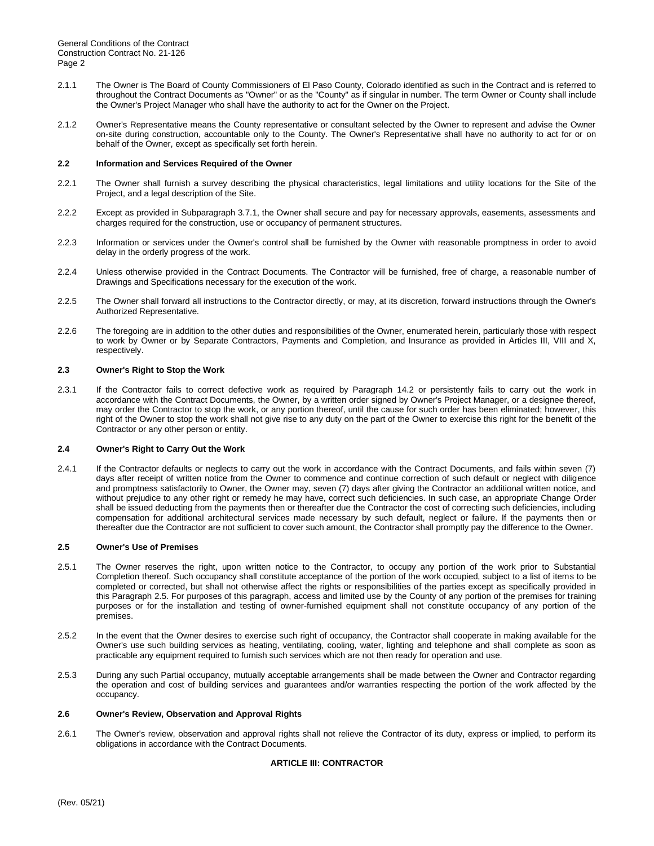- 2.1.1 The Owner is The Board of County Commissioners of El Paso County, Colorado identified as such in the Contract and is referred to throughout the Contract Documents as "Owner" or as the "County" as if singular in number. The term Owner or County shall include the Owner's Project Manager who shall have the authority to act for the Owner on the Project.
- 2.1.2 Owner's Representative means the County representative or consultant selected by the Owner to represent and advise the Owner on-site during construction, accountable only to the County. The Owner's Representative shall have no authority to act for or on behalf of the Owner, except as specifically set forth herein.

# **2.2 Information and Services Required of the Owner**

- 2.2.1 The Owner shall furnish a survey describing the physical characteristics, legal limitations and utility locations for the Site of the Project, and a legal description of the Site.
- 2.2.2 Except as provided in Subparagraph 3.7.1, the Owner shall secure and pay for necessary approvals, easements, assessments and charges required for the construction, use or occupancy of permanent structures.
- 2.2.3 Information or services under the Owner's control shall be furnished by the Owner with reasonable promptness in order to avoid delay in the orderly progress of the work.
- 2.2.4 Unless otherwise provided in the Contract Documents. The Contractor will be furnished, free of charge, a reasonable number of Drawings and Specifications necessary for the execution of the work.
- 2.2.5 The Owner shall forward all instructions to the Contractor directly, or may, at its discretion, forward instructions through the Owner's Authorized Representative.
- 2.2.6 The foregoing are in addition to the other duties and responsibilities of the Owner, enumerated herein, particularly those with respect to work by Owner or by Separate Contractors, Payments and Completion, and Insurance as provided in Articles III, VIII and X, respectively.

# **2.3 Owner's Right to Stop the Work**

2.3.1 If the Contractor fails to correct defective work as required by Paragraph 14.2 or persistently fails to carry out the work in accordance with the Contract Documents, the Owner, by a written order signed by Owner's Project Manager, or a designee thereof, may order the Contractor to stop the work, or any portion thereof, until the cause for such order has been eliminated; however, this right of the Owner to stop the work shall not give rise to any duty on the part of the Owner to exercise this right for the benefit of the Contractor or any other person or entity.

#### **2.4 Owner's Right to Carry Out the Work**

2.4.1 If the Contractor defaults or neglects to carry out the work in accordance with the Contract Documents, and fails within seven (7) days after receipt of written notice from the Owner to commence and continue correction of such default or neglect with diligence and promptness satisfactorily to Owner, the Owner may, seven (7) days after giving the Contractor an additional written notice, and without prejudice to any other right or remedy he may have, correct such deficiencies. In such case, an appropriate Change Order shall be issued deducting from the payments then or thereafter due the Contractor the cost of correcting such deficiencies, including compensation for additional architectural services made necessary by such default, neglect or failure. If the payments then or thereafter due the Contractor are not sufficient to cover such amount, the Contractor shall promptly pay the difference to the Owner.

# **2.5 Owner's Use of Premises**

- 2.5.1 The Owner reserves the right, upon written notice to the Contractor, to occupy any portion of the work prior to Substantial Completion thereof. Such occupancy shall constitute acceptance of the portion of the work occupied, subject to a list of items to be completed or corrected, but shall not otherwise affect the rights or responsibilities of the parties except as specifically provided in this Paragraph 2.5. For purposes of this paragraph, access and limited use by the County of any portion of the premises for training purposes or for the installation and testing of owner-furnished equipment shall not constitute occupancy of any portion of the premises.
- 2.5.2 In the event that the Owner desires to exercise such right of occupancy, the Contractor shall cooperate in making available for the Owner's use such building services as heating, ventilating, cooling, water, lighting and telephone and shall complete as soon as practicable any equipment required to furnish such services which are not then ready for operation and use.
- 2.5.3 During any such Partial occupancy, mutually acceptable arrangements shall be made between the Owner and Contractor regarding the operation and cost of building services and guarantees and/or warranties respecting the portion of the work affected by the occupancy.

#### **2.6 Owner's Review, Observation and Approval Rights**

2.6.1 The Owner's review, observation and approval rights shall not relieve the Contractor of its duty, express or implied, to perform its obligations in accordance with the Contract Documents.

# **ARTICLE III: CONTRACTOR**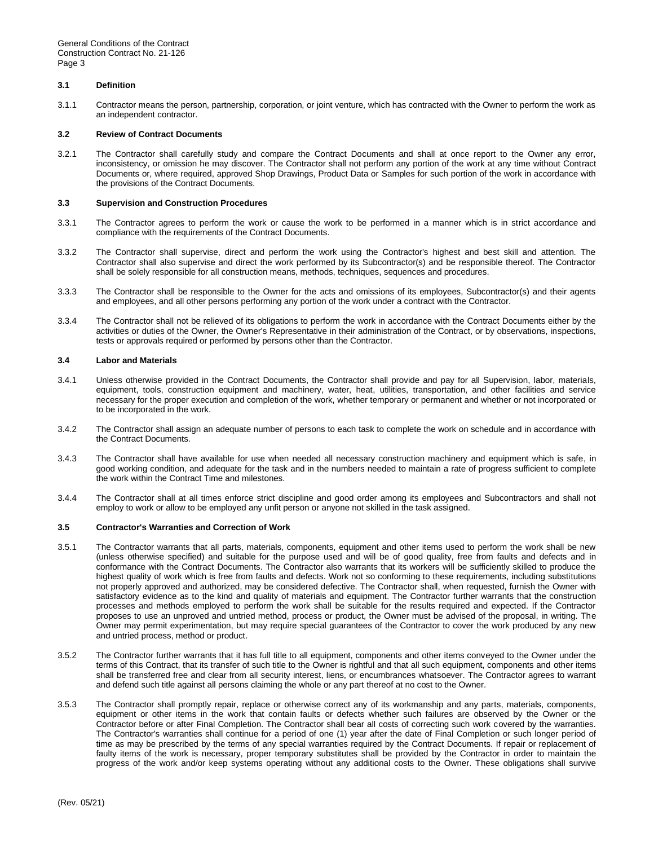# **3.1 Definition**

3.1.1 Contractor means the person, partnership, corporation, or joint venture, which has contracted with the Owner to perform the work as an independent contractor.

#### **3.2 Review of Contract Documents**

3.2.1 The Contractor shall carefully study and compare the Contract Documents and shall at once report to the Owner any error, inconsistency, or omission he may discover. The Contractor shall not perform any portion of the work at any time without Contract Documents or, where required, approved Shop Drawings, Product Data or Samples for such portion of the work in accordance with the provisions of the Contract Documents.

#### **3.3 Supervision and Construction Procedures**

- 3.3.1 The Contractor agrees to perform the work or cause the work to be performed in a manner which is in strict accordance and compliance with the requirements of the Contract Documents.
- 3.3.2 The Contractor shall supervise, direct and perform the work using the Contractor's highest and best skill and attention. The Contractor shall also supervise and direct the work performed by its Subcontractor(s) and be responsible thereof. The Contractor shall be solely responsible for all construction means, methods, techniques, sequences and procedures.
- 3.3.3 The Contractor shall be responsible to the Owner for the acts and omissions of its employees, Subcontractor(s) and their agents and employees, and all other persons performing any portion of the work under a contract with the Contractor.
- 3.3.4 The Contractor shall not be relieved of its obligations to perform the work in accordance with the Contract Documents either by the activities or duties of the Owner, the Owner's Representative in their administration of the Contract, or by observations, inspections, tests or approvals required or performed by persons other than the Contractor.

#### **3.4 Labor and Materials**

- 3.4.1 Unless otherwise provided in the Contract Documents, the Contractor shall provide and pay for all Supervision, labor, materials, equipment, tools, construction equipment and machinery, water, heat, utilities, transportation, and other facilities and service necessary for the proper execution and completion of the work, whether temporary or permanent and whether or not incorporated or to be incorporated in the work.
- 3.4.2 The Contractor shall assign an adequate number of persons to each task to complete the work on schedule and in accordance with the Contract Documents.
- 3.4.3 The Contractor shall have available for use when needed all necessary construction machinery and equipment which is safe, in good working condition, and adequate for the task and in the numbers needed to maintain a rate of progress sufficient to complete the work within the Contract Time and milestones.
- 3.4.4 The Contractor shall at all times enforce strict discipline and good order among its employees and Subcontractors and shall not employ to work or allow to be employed any unfit person or anyone not skilled in the task assigned.

#### **3.5 Contractor's Warranties and Correction of Work**

- 3.5.1 The Contractor warrants that all parts, materials, components, equipment and other items used to perform the work shall be new (unless otherwise specified) and suitable for the purpose used and will be of good quality, free from faults and defects and in conformance with the Contract Documents. The Contractor also warrants that its workers will be sufficiently skilled to produce the highest quality of work which is free from faults and defects. Work not so conforming to these requirements, including substitutions not properly approved and authorized, may be considered defective. The Contractor shall, when requested, furnish the Owner with satisfactory evidence as to the kind and quality of materials and equipment. The Contractor further warrants that the construction processes and methods employed to perform the work shall be suitable for the results required and expected. If the Contractor proposes to use an unproved and untried method, process or product, the Owner must be advised of the proposal, in writing. The Owner may permit experimentation, but may require special guarantees of the Contractor to cover the work produced by any new and untried process, method or product.
- 3.5.2 The Contractor further warrants that it has full title to all equipment, components and other items conveyed to the Owner under the terms of this Contract, that its transfer of such title to the Owner is rightful and that all such equipment, components and other items shall be transferred free and clear from all security interest, liens, or encumbrances whatsoever. The Contractor agrees to warrant and defend such title against all persons claiming the whole or any part thereof at no cost to the Owner.
- 3.5.3 The Contractor shall promptly repair, replace or otherwise correct any of its workmanship and any parts, materials, components, equipment or other items in the work that contain faults or defects whether such failures are observed by the Owner or the Contractor before or after Final Completion. The Contractor shall bear all costs of correcting such work covered by the warranties. The Contractor's warranties shall continue for a period of one (1) year after the date of Final Completion or such longer period of time as may be prescribed by the terms of any special warranties required by the Contract Documents. If repair or replacement of faulty items of the work is necessary, proper temporary substitutes shall be provided by the Contractor in order to maintain the progress of the work and/or keep systems operating without any additional costs to the Owner. These obligations shall survive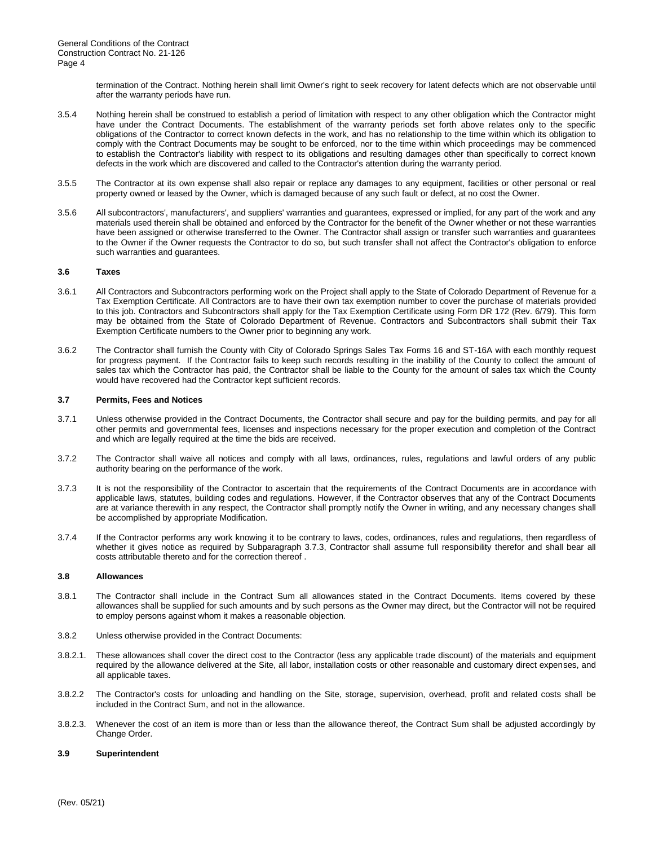termination of the Contract. Nothing herein shall limit Owner's right to seek recovery for latent defects which are not observable until after the warranty periods have run.

- 3.5.4 Nothing herein shall be construed to establish a period of limitation with respect to any other obligation which the Contractor might have under the Contract Documents. The establishment of the warranty periods set forth above relates only to the specific obligations of the Contractor to correct known defects in the work, and has no relationship to the time within which its obligation to comply with the Contract Documents may be sought to be enforced, nor to the time within which proceedings may be commenced to establish the Contractor's liability with respect to its obligations and resulting damages other than specifically to correct known defects in the work which are discovered and called to the Contractor's attention during the warranty period.
- 3.5.5 The Contractor at its own expense shall also repair or replace any damages to any equipment, facilities or other personal or real property owned or leased by the Owner, which is damaged because of any such fault or defect, at no cost the Owner.
- 3.5.6 All subcontractors', manufacturers', and suppliers' warranties and guarantees, expressed or implied, for any part of the work and any materials used therein shall be obtained and enforced by the Contractor for the benefit of the Owner whether or not these warranties have been assigned or otherwise transferred to the Owner. The Contractor shall assign or transfer such warranties and guarantees to the Owner if the Owner requests the Contractor to do so, but such transfer shall not affect the Contractor's obligation to enforce such warranties and guarantees.

#### **3.6 Taxes**

- 3.6.1 All Contractors and Subcontractors performing work on the Project shall apply to the State of Colorado Department of Revenue for a Tax Exemption Certificate. All Contractors are to have their own tax exemption number to cover the purchase of materials provided to this job. Contractors and Subcontractors shall apply for the Tax Exemption Certificate using Form DR 172 (Rev. 6/79). This form may be obtained from the State of Colorado Department of Revenue. Contractors and Subcontractors shall submit their Tax Exemption Certificate numbers to the Owner prior to beginning any work.
- 3.6.2 The Contractor shall furnish the County with City of Colorado Springs Sales Tax Forms 16 and ST-16A with each monthly request for progress payment. If the Contractor fails to keep such records resulting in the inability of the County to collect the amount of sales tax which the Contractor has paid, the Contractor shall be liable to the County for the amount of sales tax which the County would have recovered had the Contractor kept sufficient records.

#### **3.7 Permits, Fees and Notices**

- 3.7.1 Unless otherwise provided in the Contract Documents, the Contractor shall secure and pay for the building permits, and pay for all other permits and governmental fees, licenses and inspections necessary for the proper execution and completion of the Contract and which are legally required at the time the bids are received.
- 3.7.2 The Contractor shall waive all notices and comply with all laws, ordinances, rules, regulations and lawful orders of any public authority bearing on the performance of the work.
- 3.7.3 It is not the responsibility of the Contractor to ascertain that the requirements of the Contract Documents are in accordance with applicable laws, statutes, building codes and regulations. However, if the Contractor observes that any of the Contract Documents are at variance therewith in any respect, the Contractor shall promptly notify the Owner in writing, and any necessary changes shall be accomplished by appropriate Modification.
- 3.7.4 If the Contractor performs any work knowing it to be contrary to laws, codes, ordinances, rules and regulations, then regardless of whether it gives notice as required by Subparagraph 3.7.3, Contractor shall assume full responsibility therefor and shall bear all costs attributable thereto and for the correction thereof .

# **3.8 Allowances**

- 3.8.1 The Contractor shall include in the Contract Sum all allowances stated in the Contract Documents. Items covered by these allowances shall be supplied for such amounts and by such persons as the Owner may direct, but the Contractor will not be required to employ persons against whom it makes a reasonable objection.
- 3.8.2 Unless otherwise provided in the Contract Documents:
- 3.8.2.1. These allowances shall cover the direct cost to the Contractor (less any applicable trade discount) of the materials and equipment required by the allowance delivered at the Site, all labor, installation costs or other reasonable and customary direct expenses, and all applicable taxes.
- 3.8.2.2 The Contractor's costs for unloading and handling on the Site, storage, supervision, overhead, profit and related costs shall be included in the Contract Sum, and not in the allowance.
- 3.8.2.3. Whenever the cost of an item is more than or less than the allowance thereof, the Contract Sum shall be adjusted accordingly by Change Order.

#### **3.9 Superintendent**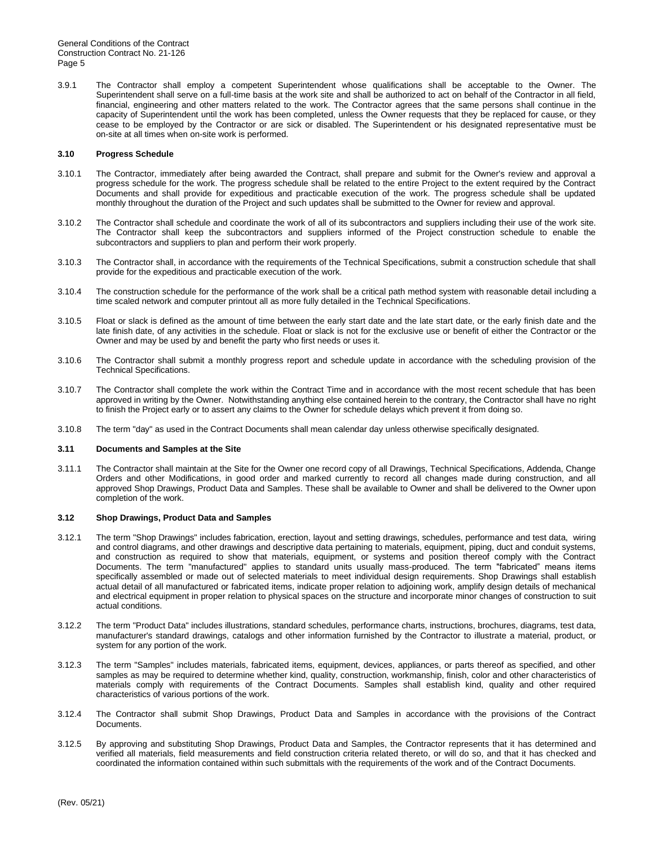3.9.1 The Contractor shall employ a competent Superintendent whose qualifications shall be acceptable to the Owner. The Superintendent shall serve on a full-time basis at the work site and shall be authorized to act on behalf of the Contractor in all field, financial, engineering and other matters related to the work. The Contractor agrees that the same persons shall continue in the capacity of Superintendent until the work has been completed, unless the Owner requests that they be replaced for cause, or they cease to be employed by the Contractor or are sick or disabled. The Superintendent or his designated representative must be on-site at all times when on-site work is performed.

#### **3.10 Progress Schedule**

- 3.10.1 The Contractor, immediately after being awarded the Contract, shall prepare and submit for the Owner's review and approval a progress schedule for the work. The progress schedule shall be related to the entire Project to the extent required by the Contract Documents and shall provide for expeditious and practicable execution of the work. The progress schedule shall be updated monthly throughout the duration of the Project and such updates shall be submitted to the Owner for review and approval.
- 3.10.2 The Contractor shall schedule and coordinate the work of all of its subcontractors and suppliers including their use of the work site. The Contractor shall keep the subcontractors and suppliers informed of the Project construction schedule to enable the subcontractors and suppliers to plan and perform their work properly.
- 3.10.3 The Contractor shall, in accordance with the requirements of the Technical Specifications, submit a construction schedule that shall provide for the expeditious and practicable execution of the work.
- 3.10.4 The construction schedule for the performance of the work shall be a critical path method system with reasonable detail including a time scaled network and computer printout all as more fully detailed in the Technical Specifications.
- 3.10.5 Float or slack is defined as the amount of time between the early start date and the late start date, or the early finish date and the late finish date, of any activities in the schedule. Float or slack is not for the exclusive use or benefit of either the Contractor or the Owner and may be used by and benefit the party who first needs or uses it.
- 3.10.6 The Contractor shall submit a monthly progress report and schedule update in accordance with the scheduling provision of the Technical Specifications.
- 3.10.7 The Contractor shall complete the work within the Contract Time and in accordance with the most recent schedule that has been approved in writing by the Owner. Notwithstanding anything else contained herein to the contrary, the Contractor shall have no right to finish the Project early or to assert any claims to the Owner for schedule delays which prevent it from doing so.
- 3.10.8 The term "day" as used in the Contract Documents shall mean calendar day unless otherwise specifically designated.

#### **3.11 Documents and Samples at the Site**

3.11.1 The Contractor shall maintain at the Site for the Owner one record copy of all Drawings, Technical Specifications, Addenda, Change Orders and other Modifications, in good order and marked currently to record all changes made during construction, and all approved Shop Drawings, Product Data and Samples. These shall be available to Owner and shall be delivered to the Owner upon completion of the work.

#### **3.12 Shop Drawings, Product Data and Samples**

- 3.12.1 The term "Shop Drawings" includes fabrication, erection, layout and setting drawings, schedules, performance and test data, wiring and control diagrams, and other drawings and descriptive data pertaining to materials, equipment, piping, duct and conduit systems, and construction as required to show that materials, equipment, or systems and position thereof comply with the Contract Documents. The term "manufactured" applies to standard units usually mass-produced. The term "fabricated" means items specifically assembled or made out of selected materials to meet individual design requirements. Shop Drawings shall establish actual detail of all manufactured or fabricated items, indicate proper relation to adjoining work, amplify design details of mechanical and electrical equipment in proper relation to physical spaces on the structure and incorporate minor changes of construction to suit actual conditions.
- 3.12.2 The term "Product Data" includes illustrations, standard schedules, performance charts, instructions, brochures, diagrams, test data, manufacturer's standard drawings, catalogs and other information furnished by the Contractor to illustrate a material, product, or system for any portion of the work.
- 3.12.3 The term "Samples" includes materials, fabricated items, equipment, devices, appliances, or parts thereof as specified, and other samples as may be required to determine whether kind, quality, construction, workmanship, finish, color and other characteristics of materials comply with requirements of the Contract Documents. Samples shall establish kind, quality and other required characteristics of various portions of the work.
- 3.12.4 The Contractor shall submit Shop Drawings, Product Data and Samples in accordance with the provisions of the Contract Documents.
- 3.12.5 By approving and substituting Shop Drawings, Product Data and Samples, the Contractor represents that it has determined and verified all materials, field measurements and field construction criteria related thereto, or will do so, and that it has checked and coordinated the information contained within such submittals with the requirements of the work and of the Contract Documents.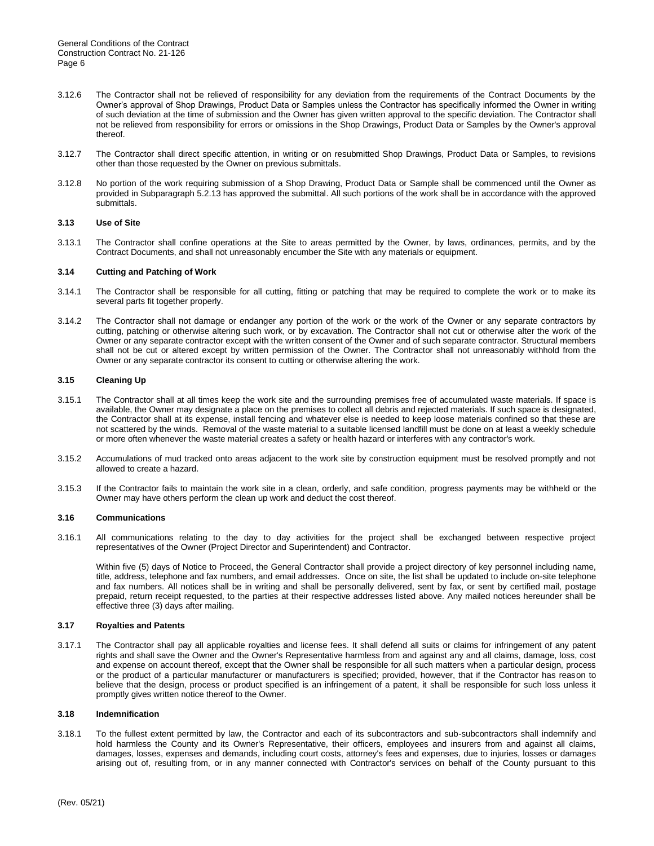- 3.12.6 The Contractor shall not be relieved of responsibility for any deviation from the requirements of the Contract Documents by the Owner's approval of Shop Drawings, Product Data or Samples unless the Contractor has specifically informed the Owner in writing of such deviation at the time of submission and the Owner has given written approval to the specific deviation. The Contractor shall not be relieved from responsibility for errors or omissions in the Shop Drawings, Product Data or Samples by the Owner's approval thereof.
- 3.12.7 The Contractor shall direct specific attention, in writing or on resubmitted Shop Drawings, Product Data or Samples, to revisions other than those requested by the Owner on previous submittals.
- 3.12.8 No portion of the work requiring submission of a Shop Drawing, Product Data or Sample shall be commenced until the Owner as provided in Subparagraph 5.2.13 has approved the submittal. All such portions of the work shall be in accordance with the approved submittals.

# **3.13 Use of Site**

3.13.1 The Contractor shall confine operations at the Site to areas permitted by the Owner, by laws, ordinances, permits, and by the Contract Documents, and shall not unreasonably encumber the Site with any materials or equipment.

# **3.14 Cutting and Patching of Work**

- 3.14.1 The Contractor shall be responsible for all cutting, fitting or patching that may be required to complete the work or to make its several parts fit together properly.
- 3.14.2 The Contractor shall not damage or endanger any portion of the work or the work of the Owner or any separate contractors by cutting, patching or otherwise altering such work, or by excavation. The Contractor shall not cut or otherwise alter the work of the Owner or any separate contractor except with the written consent of the Owner and of such separate contractor. Structural members shall not be cut or altered except by written permission of the Owner. The Contractor shall not unreasonably withhold from the Owner or any separate contractor its consent to cutting or otherwise altering the work.

# **3.15 Cleaning Up**

- 3.15.1 The Contractor shall at all times keep the work site and the surrounding premises free of accumulated waste materials. If space is available, the Owner may designate a place on the premises to collect all debris and rejected materials. If such space is designated, the Contractor shall at its expense, install fencing and whatever else is needed to keep loose materials confined so that these are not scattered by the winds. Removal of the waste material to a suitable licensed landfill must be done on at least a weekly schedule or more often whenever the waste material creates a safety or health hazard or interferes with any contractor's work.
- 3.15.2 Accumulations of mud tracked onto areas adjacent to the work site by construction equipment must be resolved promptly and not allowed to create a hazard.
- 3.15.3 If the Contractor fails to maintain the work site in a clean, orderly, and safe condition, progress payments may be withheld or the Owner may have others perform the clean up work and deduct the cost thereof.

#### **3.16 Communications**

3.16.1 All communications relating to the day to day activities for the project shall be exchanged between respective project representatives of the Owner (Project Director and Superintendent) and Contractor.

Within five (5) days of Notice to Proceed, the General Contractor shall provide a project directory of key personnel including name, title, address, telephone and fax numbers, and email addresses. Once on site, the list shall be updated to include on-site telephone and fax numbers. All notices shall be in writing and shall be personally delivered, sent by fax, or sent by certified mail, postage prepaid, return receipt requested, to the parties at their respective addresses listed above. Any mailed notices hereunder shall be effective three (3) days after mailing.

#### **3.17 Royalties and Patents**

3.17.1 The Contractor shall pay all applicable royalties and license fees. It shall defend all suits or claims for infringement of any patent rights and shall save the Owner and the Owner's Representative harmless from and against any and all claims, damage, loss, cost and expense on account thereof, except that the Owner shall be responsible for all such matters when a particular design, process or the product of a particular manufacturer or manufacturers is specified; provided, however, that if the Contractor has reason to believe that the design, process or product specified is an infringement of a patent, it shall be responsible for such loss unless it promptly gives written notice thereof to the Owner.

#### **3.18 Indemnification**

3.18.1 To the fullest extent permitted by law, the Contractor and each of its subcontractors and sub-subcontractors shall indemnify and hold harmless the County and its Owner's Representative, their officers, employees and insurers from and against all claims, damages, losses, expenses and demands, including court costs, attorney's fees and expenses, due to injuries, losses or damages arising out of, resulting from, or in any manner connected with Contractor's services on behalf of the County pursuant to this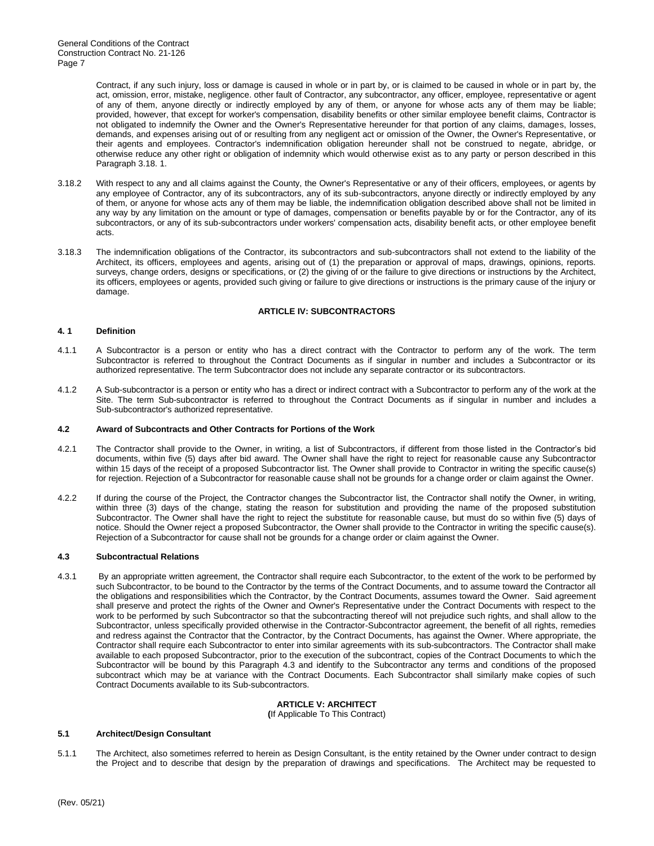> Contract, if any such injury, loss or damage is caused in whole or in part by, or is claimed to be caused in whole or in part by, the act, omission, error, mistake, negligence. other fault of Contractor, any subcontractor, any officer, employee, representative or agent of any of them, anyone directly or indirectly employed by any of them, or anyone for whose acts any of them may be liable; provided, however, that except for worker's compensation, disability benefits or other similar employee benefit claims, Contractor is not obligated to indemnify the Owner and the Owner's Representative hereunder for that portion of any claims, damages, losses, demands, and expenses arising out of or resulting from any negligent act or omission of the Owner, the Owner's Representative, or their agents and employees. Contractor's indemnification obligation hereunder shall not be construed to negate, abridge, or otherwise reduce any other right or obligation of indemnity which would otherwise exist as to any party or person described in this Paragraph 3.18. 1.

- 3.18.2 With respect to any and all claims against the County, the Owner's Representative or any of their officers, employees, or agents by any employee of Contractor, any of its subcontractors, any of its sub-subcontractors, anyone directly or indirectly employed by any of them, or anyone for whose acts any of them may be liable, the indemnification obligation described above shall not be limited in any way by any limitation on the amount or type of damages, compensation or benefits payable by or for the Contractor, any of its subcontractors, or any of its sub-subcontractors under workers' compensation acts, disability benefit acts, or other employee benefit acts.
- 3.18.3 The indemnification obligations of the Contractor, its subcontractors and sub-subcontractors shall not extend to the liability of the Architect, its officers, employees and agents, arising out of (1) the preparation or approval of maps, drawings, opinions, reports. surveys, change orders, designs or specifications, or (2) the giving of or the failure to give directions or instructions by the Architect, its officers, employees or agents, provided such giving or failure to give directions or instructions is the primary cause of the injury or damage.

# **ARTICLE IV: SUBCONTRACTORS**

# **4. 1 Definition**

- 4.1.1 A Subcontractor is a person or entity who has a direct contract with the Contractor to perform any of the work. The term Subcontractor is referred to throughout the Contract Documents as if singular in number and includes a Subcontractor or its authorized representative. The term Subcontractor does not include any separate contractor or its subcontractors.
- 4.1.2 A Sub-subcontractor is a person or entity who has a direct or indirect contract with a Subcontractor to perform any of the work at the Site. The term Sub-subcontractor is referred to throughout the Contract Documents as if singular in number and includes a Sub-subcontractor's authorized representative.

# **4.2 Award of Subcontracts and Other Contracts for Portions of the Work**

- 4.2.1 The Contractor shall provide to the Owner, in writing, a list of Subcontractors, if different from those listed in the Contractor's bid documents, within five (5) days after bid award. The Owner shall have the right to reject for reasonable cause any Subcontractor within 15 days of the receipt of a proposed Subcontractor list. The Owner shall provide to Contractor in writing the specific cause(s) for rejection. Rejection of a Subcontractor for reasonable cause shall not be grounds for a change order or claim against the Owner.
- 4.2.2 If during the course of the Project, the Contractor changes the Subcontractor list, the Contractor shall notify the Owner, in writing, within three (3) days of the change, stating the reason for substitution and providing the name of the proposed substitution Subcontractor. The Owner shall have the right to reject the substitute for reasonable cause, but must do so within five (5) days of notice. Should the Owner reject a proposed Subcontractor, the Owner shall provide to the Contractor in writing the specific cause(s). Rejection of a Subcontractor for cause shall not be grounds for a change order or claim against the Owner.

# **4.3 Subcontractual Relations**

4.3.1 By an appropriate written agreement, the Contractor shall require each Subcontractor, to the extent of the work to be performed by such Subcontractor, to be bound to the Contractor by the terms of the Contract Documents, and to assume toward the Contractor all the obligations and responsibilities which the Contractor, by the Contract Documents, assumes toward the Owner. Said agreement shall preserve and protect the rights of the Owner and Owner's Representative under the Contract Documents with respect to the work to be performed by such Subcontractor so that the subcontracting thereof will not prejudice such rights, and shall allow to the Subcontractor, unless specifically provided otherwise in the Contractor-Subcontractor agreement, the benefit of all rights, remedies and redress against the Contractor that the Contractor, by the Contract Documents, has against the Owner. Where appropriate, the Contractor shall require each Subcontractor to enter into similar agreements with its sub-subcontractors. The Contractor shall make available to each proposed Subcontractor, prior to the execution of the subcontract, copies of the Contract Documents to which the Subcontractor will be bound by this Paragraph 4.3 and identify to the Subcontractor any terms and conditions of the proposed subcontract which may be at variance with the Contract Documents. Each Subcontractor shall similarly make copies of such Contract Documents available to its Sub-subcontractors.

#### **ARTICLE V: ARCHITECT (**If Applicable To This Contract)

#### **5.1 Architect/Design Consultant**

5.1.1 The Architect, also sometimes referred to herein as Design Consultant, is the entity retained by the Owner under contract to design the Project and to describe that design by the preparation of drawings and specifications. The Architect may be requested to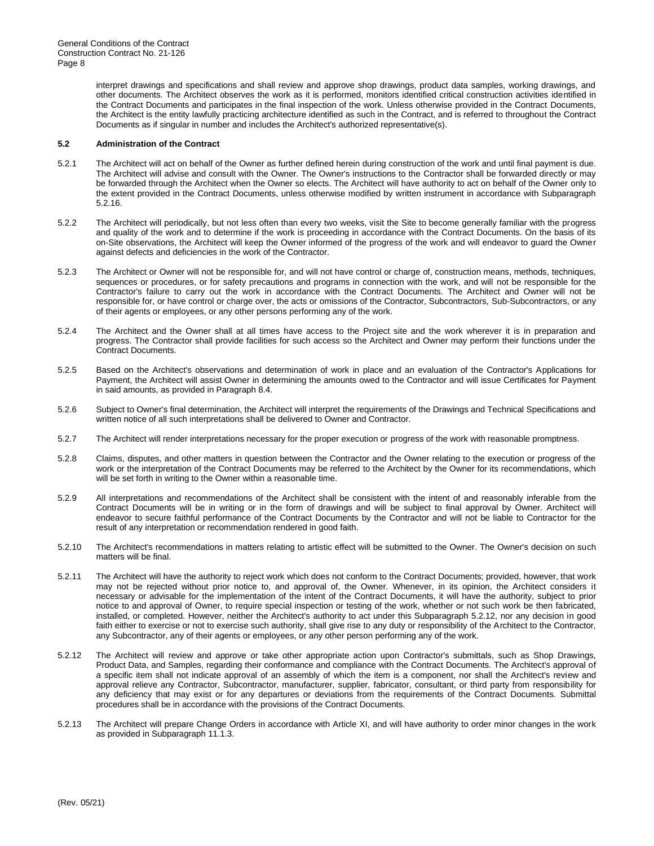interpret drawings and specifications and shall review and approve shop drawings, product data samples, working drawings, and other documents. The Architect observes the work as it is performed, monitors identified critical construction activities identified in the Contract Documents and participates in the final inspection of the work. Unless otherwise provided in the Contract Documents, the Architect is the entity lawfully practicing architecture identified as such in the Contract, and is referred to throughout the Contract Documents as if singular in number and includes the Architect's authorized representative(s).

#### **5.2 Administration of the Contract**

- 5.2.1 The Architect will act on behalf of the Owner as further defined herein during construction of the work and until final payment is due. The Architect will advise and consult with the Owner. The Owner's instructions to the Contractor shall be forwarded directly or may be forwarded through the Architect when the Owner so elects. The Architect will have authority to act on behalf of the Owner only to the extent provided in the Contract Documents, unless otherwise modified by written instrument in accordance with Subparagraph 5.2.16.
- 5.2.2 The Architect will periodically, but not less often than every two weeks, visit the Site to become generally familiar with the progress and quality of the work and to determine if the work is proceeding in accordance with the Contract Documents. On the basis of its on-Site observations, the Architect will keep the Owner informed of the progress of the work and will endeavor to guard the Owner against defects and deficiencies in the work of the Contractor.
- 5.2.3 The Architect or Owner will not be responsible for, and will not have control or charge of, construction means, methods, techniques, sequences or procedures, or for safety precautions and programs in connection with the work, and will not be responsible for the Contractor's failure to carry out the work in accordance with the Contract Documents. The Architect and Owner will not be responsible for, or have control or charge over, the acts or omissions of the Contractor, Subcontractors, Sub-Subcontractors, or any of their agents or employees, or any other persons performing any of the work.
- 5.2.4 The Architect and the Owner shall at all times have access to the Project site and the work wherever it is in preparation and progress. The Contractor shall provide facilities for such access so the Architect and Owner may perform their functions under the Contract Documents.
- 5.2.5 Based on the Architect's observations and determination of work in place and an evaluation of the Contractor's Applications for Payment, the Architect will assist Owner in determining the amounts owed to the Contractor and will issue Certificates for Payment in said amounts, as provided in Paragraph 8.4.
- 5.2.6 Subject to Owner's final determination, the Architect will interpret the requirements of the Drawings and Technical Specifications and written notice of all such interpretations shall be delivered to Owner and Contractor.
- 5.2.7 The Architect will render interpretations necessary for the proper execution or progress of the work with reasonable promptness.
- 5.2.8 Claims, disputes, and other matters in question between the Contractor and the Owner relating to the execution or progress of the work or the interpretation of the Contract Documents may be referred to the Architect by the Owner for its recommendations, which will be set forth in writing to the Owner within a reasonable time.
- 5.2.9 All interpretations and recommendations of the Architect shall be consistent with the intent of and reasonably inferable from the Contract Documents will be in writing or in the form of drawings and will be subject to final approval by Owner. Architect will endeavor to secure faithful performance of the Contract Documents by the Contractor and will not be liable to Contractor for the result of any interpretation or recommendation rendered in good faith.
- 5.2.10 The Architect's recommendations in matters relating to artistic effect will be submitted to the Owner. The Owner's decision on such matters will be final.
- 5.2.11 The Architect will have the authority to reject work which does not conform to the Contract Documents; provided, however, that work may not be rejected without prior notice to, and approval of, the Owner. Whenever, in its opinion, the Architect considers it necessary or advisable for the implementation of the intent of the Contract Documents, it will have the authority, subject to prior notice to and approval of Owner, to require special inspection or testing of the work, whether or not such work be then fabricated, installed, or completed. However, neither the Architect's authority to act under this Subparagraph 5.2.12, nor any decision in good faith either to exercise or not to exercise such authority, shall give rise to any duty or responsibility of the Architect to the Contractor, any Subcontractor, any of their agents or employees, or any other person performing any of the work.
- 5.2.12 The Architect will review and approve or take other appropriate action upon Contractor's submittals, such as Shop Drawings, Product Data, and Samples, regarding their conformance and compliance with the Contract Documents. The Architect's approval of a specific item shall not indicate approval of an assembly of which the item is a component, nor shall the Architect's review and approval relieve any Contractor, Subcontractor, manufacturer, supplier, fabricator, consultant, or third party from responsibility for any deficiency that may exist or for any departures or deviations from the requirements of the Contract Documents. Submittal procedures shall be in accordance with the provisions of the Contract Documents.
- 5.2.13 The Architect will prepare Change Orders in accordance with Article XI, and will have authority to order minor changes in the work as provided in Subparagraph 11.1.3.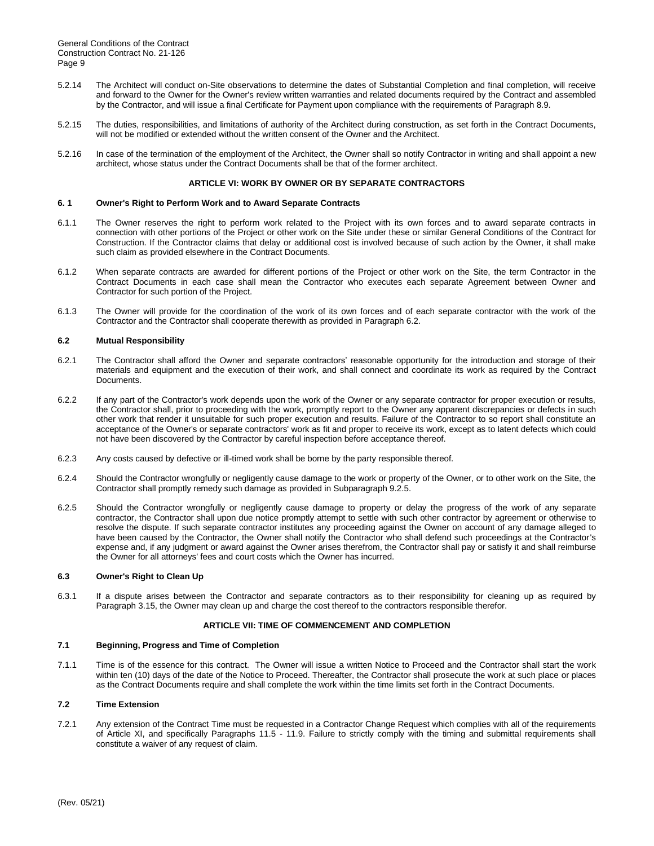- 5.2.14 The Architect will conduct on-Site observations to determine the dates of Substantial Completion and final completion, will receive and forward to the Owner for the Owner's review written warranties and related documents required by the Contract and assembled by the Contractor, and will issue a final Certificate for Payment upon compliance with the requirements of Paragraph 8.9.
- 5.2.15 The duties, responsibilities, and limitations of authority of the Architect during construction, as set forth in the Contract Documents, will not be modified or extended without the written consent of the Owner and the Architect.
- 5.2.16 In case of the termination of the employment of the Architect, the Owner shall so notify Contractor in writing and shall appoint a new architect, whose status under the Contract Documents shall be that of the former architect.

# **ARTICLE VI: WORK BY OWNER OR BY SEPARATE CONTRACTORS**

#### **6. 1 Owner's Right to Perform Work and to Award Separate Contracts**

- 6.1.1 The Owner reserves the right to perform work related to the Project with its own forces and to award separate contracts in connection with other portions of the Project or other work on the Site under these or similar General Conditions of the Contract for Construction. If the Contractor claims that delay or additional cost is involved because of such action by the Owner, it shall make such claim as provided elsewhere in the Contract Documents.
- 6.1.2 When separate contracts are awarded for different portions of the Project or other work on the Site, the term Contractor in the Contract Documents in each case shall mean the Contractor who executes each separate Agreement between Owner and Contractor for such portion of the Project.
- 6.1.3 The Owner will provide for the coordination of the work of its own forces and of each separate contractor with the work of the Contractor and the Contractor shall cooperate therewith as provided in Paragraph 6.2.

# **6.2 Mutual Responsibility**

- 6.2.1 The Contractor shall afford the Owner and separate contractors' reasonable opportunity for the introduction and storage of their materials and equipment and the execution of their work, and shall connect and coordinate its work as required by the Contract Documents.
- 6.2.2 If any part of the Contractor's work depends upon the work of the Owner or any separate contractor for proper execution or results, the Contractor shall, prior to proceeding with the work, promptly report to the Owner any apparent discrepancies or defects in such other work that render it unsuitable for such proper execution and results. Failure of the Contractor to so report shall constitute an acceptance of the Owner's or separate contractors' work as fit and proper to receive its work, except as to latent defects which could not have been discovered by the Contractor by careful inspection before acceptance thereof.
- 6.2.3 Any costs caused by defective or ill-timed work shall be borne by the party responsible thereof.
- 6.2.4 Should the Contractor wrongfully or negligently cause damage to the work or property of the Owner, or to other work on the Site, the Contractor shall promptly remedy such damage as provided in Subparagraph 9.2.5.
- 6.2.5 Should the Contractor wrongfully or negligently cause damage to property or delay the progress of the work of any separate contractor, the Contractor shall upon due notice promptly attempt to settle with such other contractor by agreement or otherwise to resolve the dispute. If such separate contractor institutes any proceeding against the Owner on account of any damage alleged to have been caused by the Contractor, the Owner shall notify the Contractor who shall defend such proceedings at the Contractor's expense and, if any judgment or award against the Owner arises therefrom, the Contractor shall pay or satisfy it and shall reimburse the Owner for all attorneys' fees and court costs which the Owner has incurred.

# **6.3 Owner's Right to Clean Up**

6.3.1 If a dispute arises between the Contractor and separate contractors as to their responsibility for cleaning up as required by Paragraph 3.15, the Owner may clean up and charge the cost thereof to the contractors responsible therefor.

#### **ARTICLE VII: TIME OF COMMENCEMENT AND COMPLETION**

#### **7.1 Beginning, Progress and Time of Completion**

7.1.1 Time is of the essence for this contract. The Owner will issue a written Notice to Proceed and the Contractor shall start the work within ten (10) days of the date of the Notice to Proceed. Thereafter, the Contractor shall prosecute the work at such place or places as the Contract Documents require and shall complete the work within the time limits set forth in the Contract Documents.

# **7.2 Time Extension**

7.2.1 Any extension of the Contract Time must be requested in a Contractor Change Request which complies with all of the requirements of Article XI, and specifically Paragraphs 11.5 - 11.9. Failure to strictly comply with the timing and submittal requirements shall constitute a waiver of any request of claim.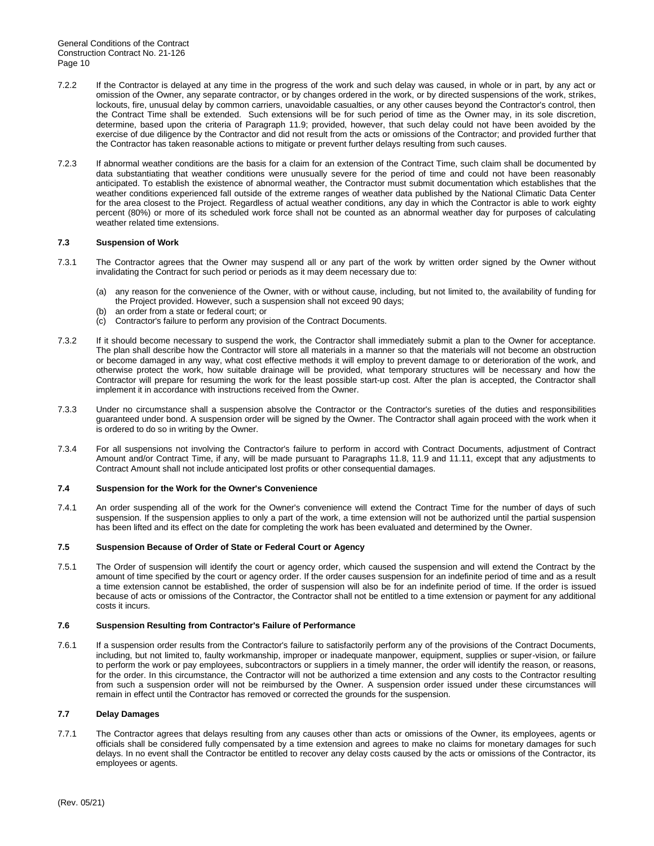- 7.2.2 If the Contractor is delayed at any time in the progress of the work and such delay was caused, in whole or in part, by any act or omission of the Owner, any separate contractor, or by changes ordered in the work, or by directed suspensions of the work, strikes, lockouts, fire, unusual delay by common carriers, unavoidable casualties, or any other causes beyond the Contractor's control, then the Contract Time shall be extended. Such extensions will be for such period of time as the Owner may, in its sole discretion, determine, based upon the criteria of Paragraph 11.9; provided, however, that such delay could not have been avoided by the exercise of due diligence by the Contractor and did not result from the acts or omissions of the Contractor; and provided further that the Contractor has taken reasonable actions to mitigate or prevent further delays resulting from such causes.
- 7.2.3 If abnormal weather conditions are the basis for a claim for an extension of the Contract Time, such claim shall be documented by data substantiating that weather conditions were unusually severe for the period of time and could not have been reasonably anticipated. To establish the existence of abnormal weather, the Contractor must submit documentation which establishes that the weather conditions experienced fall outside of the extreme ranges of weather data published by the National Climatic Data Center for the area closest to the Project. Regardless of actual weather conditions, any day in which the Contractor is able to work eighty percent (80%) or more of its scheduled work force shall not be counted as an abnormal weather day for purposes of calculating weather related time extensions.

# **7.3 Suspension of Work**

- 7.3.1 The Contractor agrees that the Owner may suspend all or any part of the work by written order signed by the Owner without invalidating the Contract for such period or periods as it may deem necessary due to:
	- (a) any reason for the convenience of the Owner, with or without cause, including, but not limited to, the availability of funding for the Project provided. However, such a suspension shall not exceed 90 days;
	- (b) an order from a state or federal court; or
	- (c) Contractor's failure to perform any provision of the Contract Documents.
- 7.3.2 If it should become necessary to suspend the work, the Contractor shall immediately submit a plan to the Owner for acceptance. The plan shall describe how the Contractor will store all materials in a manner so that the materials will not become an obstruction or become damaged in any way, what cost effective methods it will employ to prevent damage to or deterioration of the work, and otherwise protect the work, how suitable drainage will be provided, what temporary structures will be necessary and how the Contractor will prepare for resuming the work for the least possible start-up cost. After the plan is accepted, the Contractor shall implement it in accordance with instructions received from the Owner.
- 7.3.3 Under no circumstance shall a suspension absolve the Contractor or the Contractor's sureties of the duties and responsibilities guaranteed under bond. A suspension order will be signed by the Owner. The Contractor shall again proceed with the work when it is ordered to do so in writing by the Owner.
- 7.3.4 For all suspensions not involving the Contractor's failure to perform in accord with Contract Documents, adjustment of Contract Amount and/or Contract Time, if any, will be made pursuant to Paragraphs 11.8, 11.9 and 11.11, except that any adjustments to Contract Amount shall not include anticipated lost profits or other consequential damages.

#### **7.4 Suspension for the Work for the Owner's Convenience**

7.4.1 An order suspending all of the work for the Owner's convenience will extend the Contract Time for the number of days of such suspension. If the suspension applies to only a part of the work, a time extension will not be authorized until the partial suspension has been lifted and its effect on the date for completing the work has been evaluated and determined by the Owner.

# **7.5 Suspension Because of Order of State or Federal Court or Agency**

7.5.1 The Order of suspension will identify the court or agency order, which caused the suspension and will extend the Contract by the amount of time specified by the court or agency order. If the order causes suspension for an indefinite period of time and as a result a time extension cannot be established, the order of suspension will also be for an indefinite period of time. If the order is issued because of acts or omissions of the Contractor, the Contractor shall not be entitled to a time extension or payment for any additional costs it incurs.

#### **7.6 Suspension Resulting from Contractor's Failure of Performance**

7.6.1 If a suspension order results from the Contractor's failure to satisfactorily perform any of the provisions of the Contract Documents, including, but not limited to, faulty workmanship, improper or inadequate manpower, equipment, supplies or super-vision, or failure to perform the work or pay employees, subcontractors or suppliers in a timely manner, the order will identify the reason, or reasons, for the order. In this circumstance, the Contractor will not be authorized a time extension and any costs to the Contractor resulting from such a suspension order will not be reimbursed by the Owner. A suspension order issued under these circumstances will remain in effect until the Contractor has removed or corrected the grounds for the suspension.

#### **7.7 Delay Damages**

7.7.1 The Contractor agrees that delays resulting from any causes other than acts or omissions of the Owner, its employees, agents or officials shall be considered fully compensated by a time extension and agrees to make no claims for monetary damages for such delays. In no event shall the Contractor be entitled to recover any delay costs caused by the acts or omissions of the Contractor, its employees or agents.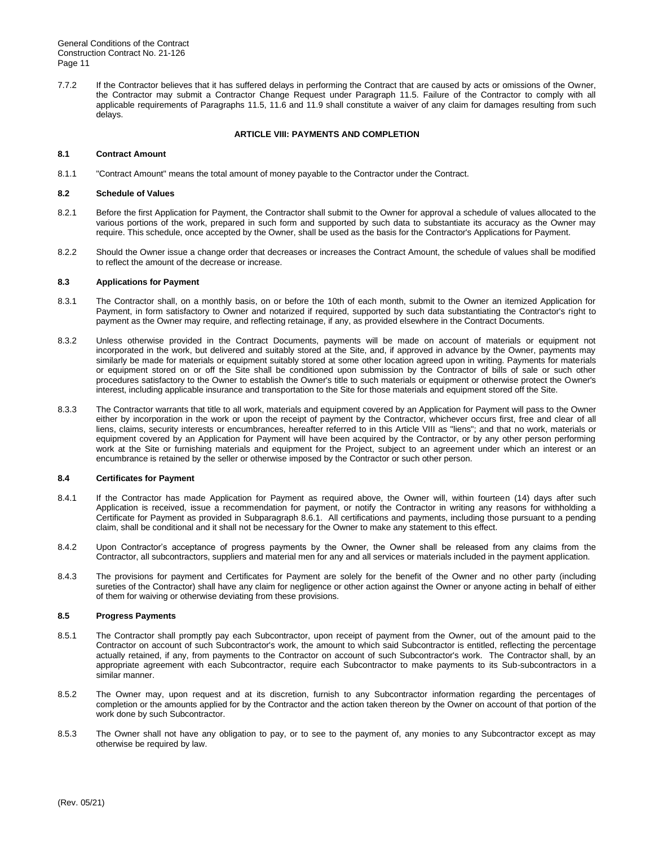7.7.2 If the Contractor believes that it has suffered delays in performing the Contract that are caused by acts or omissions of the Owner, the Contractor may submit a Contractor Change Request under Paragraph 11.5. Failure of the Contractor to comply with all applicable requirements of Paragraphs 11.5, 11.6 and 11.9 shall constitute a waiver of any claim for damages resulting from such delays.

# **ARTICLE VIII: PAYMENTS AND COMPLETION**

#### **8.1 Contract Amount**

8.1.1 "Contract Amount" means the total amount of money payable to the Contractor under the Contract.

#### **8.2 Schedule of Values**

- 8.2.1 Before the first Application for Payment, the Contractor shall submit to the Owner for approval a schedule of values allocated to the various portions of the work, prepared in such form and supported by such data to substantiate its accuracy as the Owner may require. This schedule, once accepted by the Owner, shall be used as the basis for the Contractor's Applications for Payment.
- 8.2.2 Should the Owner issue a change order that decreases or increases the Contract Amount, the schedule of values shall be modified to reflect the amount of the decrease or increase.

## **8.3 Applications for Payment**

- 8.3.1 The Contractor shall, on a monthly basis, on or before the 10th of each month, submit to the Owner an itemized Application for Payment, in form satisfactory to Owner and notarized if required, supported by such data substantiating the Contractor's right to payment as the Owner may require, and reflecting retainage, if any, as provided elsewhere in the Contract Documents.
- 8.3.2 Unless otherwise provided in the Contract Documents, payments will be made on account of materials or equipment not incorporated in the work, but delivered and suitably stored at the Site, and, if approved in advance by the Owner, payments may similarly be made for materials or equipment suitably stored at some other location agreed upon in writing. Payments for materials or equipment stored on or off the Site shall be conditioned upon submission by the Contractor of bills of sale or such other procedures satisfactory to the Owner to establish the Owner's title to such materials or equipment or otherwise protect the Owner's interest, including applicable insurance and transportation to the Site for those materials and equipment stored off the Site.
- 8.3.3 The Contractor warrants that title to all work, materials and equipment covered by an Application for Payment will pass to the Owner either by incorporation in the work or upon the receipt of payment by the Contractor, whichever occurs first, free and clear of all liens, claims, security interests or encumbrances, hereafter referred to in this Article VIII as "liens"; and that no work, materials or equipment covered by an Application for Payment will have been acquired by the Contractor, or by any other person performing work at the Site or furnishing materials and equipment for the Project, subject to an agreement under which an interest or an encumbrance is retained by the seller or otherwise imposed by the Contractor or such other person.

#### **8.4 Certificates for Payment**

- 8.4.1 If the Contractor has made Application for Payment as required above, the Owner will, within fourteen (14) days after such Application is received, issue a recommendation for payment, or notify the Contractor in writing any reasons for withholding a Certificate for Payment as provided in Subparagraph 8.6.1. All certifications and payments, including those pursuant to a pending claim, shall be conditional and it shall not be necessary for the Owner to make any statement to this effect.
- 8.4.2 Upon Contractor's acceptance of progress payments by the Owner, the Owner shall be released from any claims from the Contractor, all subcontractors, suppliers and material men for any and all services or materials included in the payment application.
- 8.4.3 The provisions for payment and Certificates for Payment are solely for the benefit of the Owner and no other party (including sureties of the Contractor) shall have any claim for negligence or other action against the Owner or anyone acting in behalf of either of them for waiving or otherwise deviating from these provisions.

# **8.5 Progress Payments**

- 8.5.1 The Contractor shall promptly pay each Subcontractor, upon receipt of payment from the Owner, out of the amount paid to the Contractor on account of such Subcontractor's work, the amount to which said Subcontractor is entitled, reflecting the percentage actually retained, if any, from payments to the Contractor on account of such Subcontractor's work. The Contractor shall, by an appropriate agreement with each Subcontractor, require each Subcontractor to make payments to its Sub-subcontractors in a similar manner.
- 8.5.2 The Owner may, upon request and at its discretion, furnish to any Subcontractor information regarding the percentages of completion or the amounts applied for by the Contractor and the action taken thereon by the Owner on account of that portion of the work done by such Subcontractor.
- 8.5.3 The Owner shall not have any obligation to pay, or to see to the payment of, any monies to any Subcontractor except as may otherwise be required by law.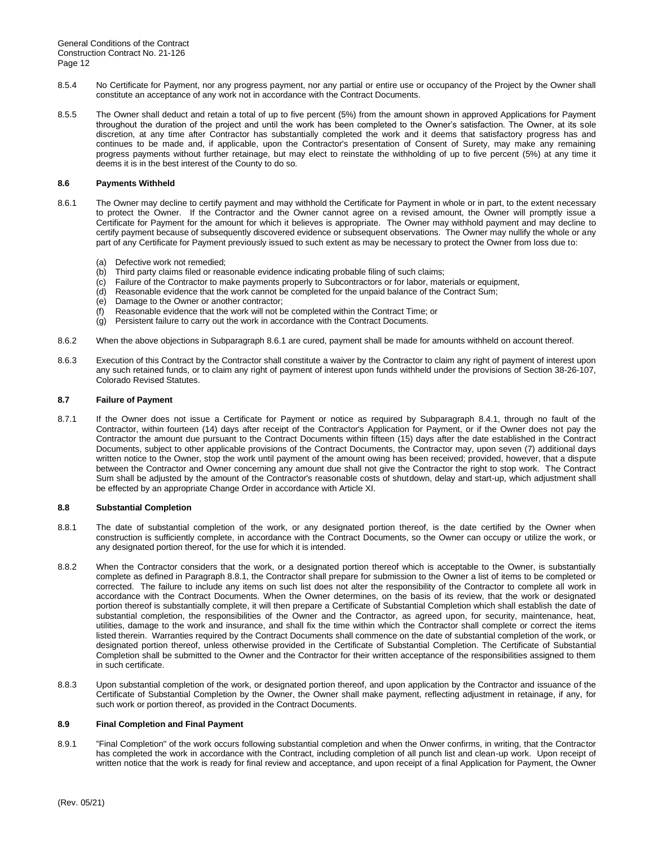- 8.5.4 No Certificate for Payment, nor any progress payment, nor any partial or entire use or occupancy of the Project by the Owner shall constitute an acceptance of any work not in accordance with the Contract Documents.
- 8.5.5 The Owner shall deduct and retain a total of up to five percent (5%) from the amount shown in approved Applications for Payment throughout the duration of the project and until the work has been completed to the Owner's satisfaction. The Owner, at its sole discretion, at any time after Contractor has substantially completed the work and it deems that satisfactory progress has and continues to be made and, if applicable, upon the Contractor's presentation of Consent of Surety, may make any remaining progress payments without further retainage, but may elect to reinstate the withholding of up to five percent (5%) at any time it deems it is in the best interest of the County to do so.

#### **8.6 Payments Withheld**

- 8.6.1 The Owner may decline to certify payment and may withhold the Certificate for Payment in whole or in part, to the extent necessary to protect the Owner. If the Contractor and the Owner cannot agree on a revised amount, the Owner will promptly issue a Certificate for Payment for the amount for which it believes is appropriate. The Owner may withhold payment and may decline to certify payment because of subsequently discovered evidence or subsequent observations. The Owner may nullify the whole or any part of any Certificate for Payment previously issued to such extent as may be necessary to protect the Owner from loss due to:
	- (a) Defective work not remedied;
	- (b) Third party claims filed or reasonable evidence indicating probable filing of such claims;
	- (c) Failure of the Contractor to make payments properly to Subcontractors or for labor, materials or equipment,
	- (d) Reasonable evidence that the work cannot be completed for the unpaid balance of the Contract Sum;
	- (e) Damage to the Owner or another contractor;
	- $(f)$  Reasonable evidence that the work will not be completed within the Contract Time; or
	- (g) Persistent failure to carry out the work in accordance with the Contract Documents.
- 8.6.2 When the above objections in Subparagraph 8.6.1 are cured, payment shall be made for amounts withheld on account thereof.
- 8.6.3 Execution of this Contract by the Contractor shall constitute a waiver by the Contractor to claim any right of payment of interest upon any such retained funds, or to claim any right of payment of interest upon funds withheld under the provisions of Section 38-26-107, Colorado Revised Statutes.

# **8.7 Failure of Payment**

8.7.1 If the Owner does not issue a Certificate for Payment or notice as required by Subparagraph 8.4.1, through no fault of the Contractor, within fourteen (14) days after receipt of the Contractor's Application for Payment, or if the Owner does not pay the Contractor the amount due pursuant to the Contract Documents within fifteen (15) days after the date established in the Contract Documents, subject to other applicable provisions of the Contract Documents, the Contractor may, upon seven (7) additional days written notice to the Owner, stop the work until payment of the amount owing has been received; provided, however, that a dispute between the Contractor and Owner concerning any amount due shall not give the Contractor the right to stop work. The Contract Sum shall be adjusted by the amount of the Contractor's reasonable costs of shutdown, delay and start-up, which adjustment shall be effected by an appropriate Change Order in accordance with Article XI.

#### **8.8 Substantial Completion**

- 8.8.1 The date of substantial completion of the work, or any designated portion thereof, is the date certified by the Owner when construction is sufficiently complete, in accordance with the Contract Documents, so the Owner can occupy or utilize the work, or any designated portion thereof, for the use for which it is intended.
- 8.8.2 When the Contractor considers that the work, or a designated portion thereof which is acceptable to the Owner, is substantially complete as defined in Paragraph 8.8.1, the Contractor shall prepare for submission to the Owner a list of items to be completed or corrected. The failure to include any items on such list does not alter the responsibility of the Contractor to complete all work in accordance with the Contract Documents. When the Owner determines, on the basis of its review, that the work or designated portion thereof is substantially complete, it will then prepare a Certificate of Substantial Completion which shall establish the date of substantial completion, the responsibilities of the Owner and the Contractor, as agreed upon, for security, maintenance, heat, utilities, damage to the work and insurance, and shall fix the time within which the Contractor shall complete or correct the items listed therein. Warranties required by the Contract Documents shall commence on the date of substantial completion of the work, or designated portion thereof, unless otherwise provided in the Certificate of Substantial Completion. The Certificate of Substantial Completion shall be submitted to the Owner and the Contractor for their written acceptance of the responsibilities assigned to them in such certificate.
- 8.8.3 Upon substantial completion of the work, or designated portion thereof, and upon application by the Contractor and issuance of the Certificate of Substantial Completion by the Owner, the Owner shall make payment, reflecting adjustment in retainage, if any, for such work or portion thereof, as provided in the Contract Documents.

#### **8.9 Final Completion and Final Payment**

8.9.1 "Final Completion" of the work occurs following substantial completion and when the Onwer confirms, in writing, that the Contractor has completed the work in accordance with the Contract, including completion of all punch list and clean-up work. Upon receipt of written notice that the work is ready for final review and acceptance, and upon receipt of a final Application for Payment, the Owner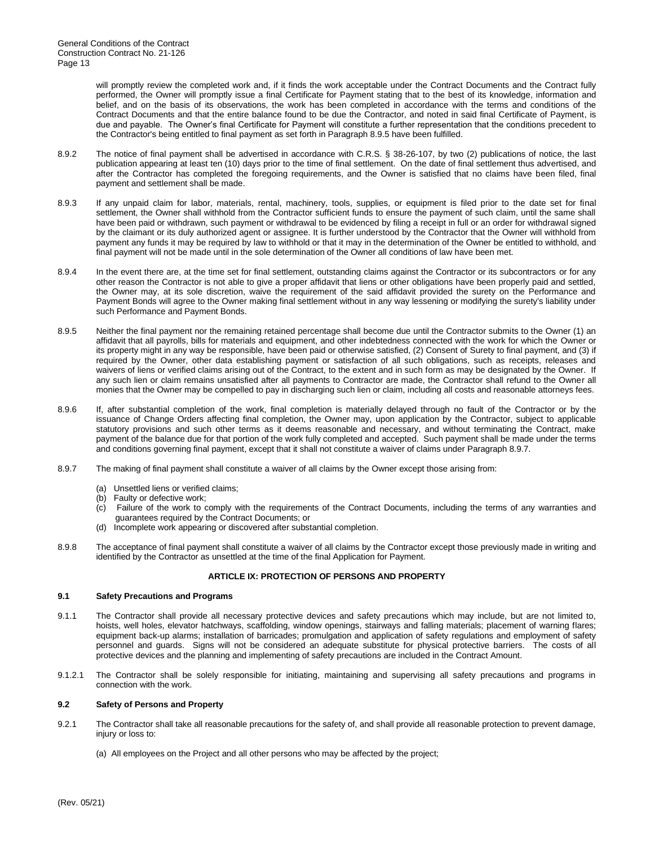will promptly review the completed work and, if it finds the work acceptable under the Contract Documents and the Contract fully performed, the Owner will promptly issue a final Certificate for Payment stating that to the best of its knowledge, information and belief, and on the basis of its observations, the work has been completed in accordance with the terms and conditions of the Contract Documents and that the entire balance found to be due the Contractor, and noted in said final Certificate of Payment, is due and payable. The Owner's final Certificate for Payment will constitute a further representation that the conditions precedent to the Contractor's being entitled to final payment as set forth in Paragraph 8.9.5 have been fulfilled.

- 8.9.2 The notice of final payment shall be advertised in accordance with C.R.S. § 38-26-107, by two (2) publications of notice, the last publication appearing at least ten (10) days prior to the time of final settlement. On the date of final settlement thus advertised, and after the Contractor has completed the foregoing requirements, and the Owner is satisfied that no claims have been filed, final payment and settlement shall be made.
- 8.9.3 If any unpaid claim for labor, materials, rental, machinery, tools, supplies, or equipment is filed prior to the date set for final settlement, the Owner shall withhold from the Contractor sufficient funds to ensure the payment of such claim, until the same shall have been paid or withdrawn, such payment or withdrawal to be evidenced by filing a receipt in full or an order for withdrawal signed by the claimant or its duly authorized agent or assignee. It is further understood by the Contractor that the Owner will withhold from payment any funds it may be required by law to withhold or that it may in the determination of the Owner be entitled to withhold, and final payment will not be made until in the sole determination of the Owner all conditions of law have been met.
- 8.9.4 In the event there are, at the time set for final settlement, outstanding claims against the Contractor or its subcontractors or for any other reason the Contractor is not able to give a proper affidavit that liens or other obligations have been properly paid and settled, the Owner may, at its sole discretion, waive the requirement of the said affidavit provided the surety on the Performance and Payment Bonds will agree to the Owner making final settlement without in any way lessening or modifying the surety's liability under such Performance and Payment Bonds.
- 8.9.5 Neither the final payment nor the remaining retained percentage shall become due until the Contractor submits to the Owner (1) an affidavit that all payrolls, bills for materials and equipment, and other indebtedness connected with the work for which the Owner or its property might in any way be responsible, have been paid or otherwise satisfied, (2) Consent of Surety to final payment, and (3) if required by the Owner, other data establishing payment or satisfaction of all such obligations, such as receipts, releases and waivers of liens or verified claims arising out of the Contract, to the extent and in such form as may be designated by the Owner. If any such lien or claim remains unsatisfied after all payments to Contractor are made, the Contractor shall refund to the Owner all monies that the Owner may be compelled to pay in discharging such lien or claim, including all costs and reasonable attorneys fees.
- 8.9.6 If, after substantial completion of the work, final completion is materially delayed through no fault of the Contractor or by the issuance of Change Orders affecting final completion, the Owner may, upon application by the Contractor, subject to applicable statutory provisions and such other terms as it deems reasonable and necessary, and without terminating the Contract, make payment of the balance due for that portion of the work fully completed and accepted. Such payment shall be made under the terms and conditions governing final payment, except that it shall not constitute a waiver of claims under Paragraph 8.9.7.
- 8.9.7 The making of final payment shall constitute a waiver of all claims by the Owner except those arising from:
	- (a) Unsettled liens or verified claims;
	- (b) Faulty or defective work;
	- (c) Failure of the work to comply with the requirements of the Contract Documents, including the terms of any warranties and guarantees required by the Contract Documents; or
	- (d) Incomplete work appearing or discovered after substantial completion.
- 8.9.8 The acceptance of final payment shall constitute a waiver of all claims by the Contractor except those previously made in writing and identified by the Contractor as unsettled at the time of the final Application for Payment.

# **ARTICLE IX: PROTECTION OF PERSONS AND PROPERTY**

#### **9.1 Safety Precautions and Programs**

- 9.1.1 The Contractor shall provide all necessary protective devices and safety precautions which may include, but are not limited to, hoists, well holes, elevator hatchways, scaffolding, window openings, stairways and falling materials; placement of warning flares; equipment back-up alarms; installation of barricades; promulgation and application of safety regulations and employment of safety personnel and guards. Signs will not be considered an adequate substitute for physical protective barriers. The costs of all protective devices and the planning and implementing of safety precautions are included in the Contract Amount.
- 9.1.2.1 The Contractor shall be solely responsible for initiating, maintaining and supervising all safety precautions and programs in connection with the work.

## **9.2 Safety of Persons and Property**

- 9.2.1 The Contractor shall take all reasonable precautions for the safety of, and shall provide all reasonable protection to prevent damage, injury or loss to:
	- (a) All employees on the Project and all other persons who may be affected by the project;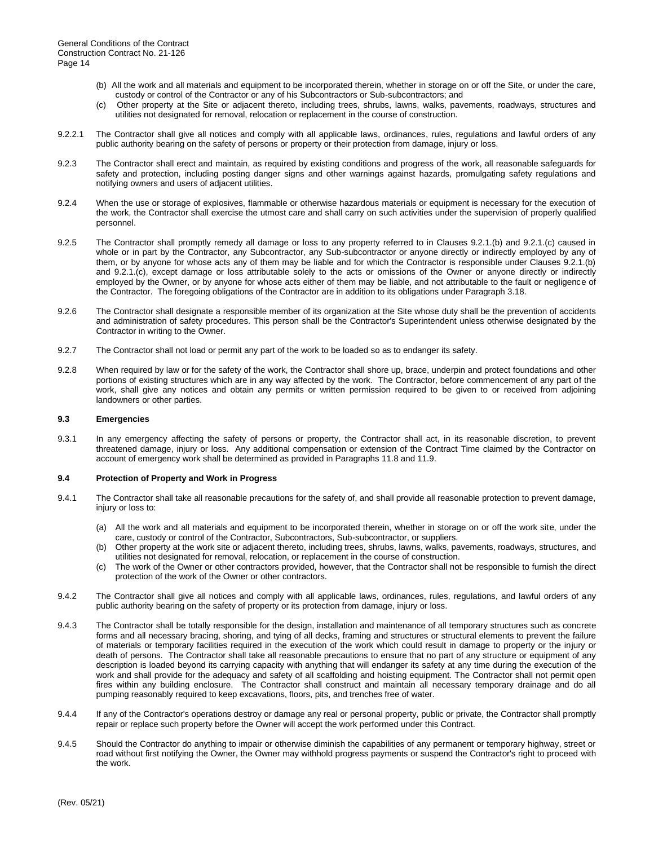- (b) All the work and all materials and equipment to be incorporated therein, whether in storage on or off the Site, or under the care, custody or control of the Contractor or any of his Subcontractors or Sub-subcontractors; and
- (c) Other property at the Site or adjacent thereto, including trees, shrubs, lawns, walks, pavements, roadways, structures and utilities not designated for removal, relocation or replacement in the course of construction.
- 9.2.2.1 The Contractor shall give all notices and comply with all applicable laws, ordinances, rules, regulations and lawful orders of any public authority bearing on the safety of persons or property or their protection from damage, injury or loss.
- 9.2.3 The Contractor shall erect and maintain, as required by existing conditions and progress of the work, all reasonable safeguards for safety and protection, including posting danger signs and other warnings against hazards, promulgating safety regulations and notifying owners and users of adjacent utilities.
- 9.2.4 When the use or storage of explosives, flammable or otherwise hazardous materials or equipment is necessary for the execution of the work, the Contractor shall exercise the utmost care and shall carry on such activities under the supervision of properly qualified personnel.
- 9.2.5 The Contractor shall promptly remedy all damage or loss to any property referred to in Clauses 9.2.1.(b) and 9.2.1.(c) caused in whole or in part by the Contractor, any Subcontractor, any Sub-subcontractor or anyone directly or indirectly employed by any of them, or by anyone for whose acts any of them may be liable and for which the Contractor is responsible under Clauses 9.2.1.(b) and 9.2.1.(c), except damage or loss attributable solely to the acts or omissions of the Owner or anyone directly or indirectly employed by the Owner, or by anyone for whose acts either of them may be liable, and not attributable to the fault or negligence of the Contractor. The foregoing obligations of the Contractor are in addition to its obligations under Paragraph 3.18.
- 9.2.6 The Contractor shall designate a responsible member of its organization at the Site whose duty shall be the prevention of accidents and administration of safety procedures. This person shall be the Contractor's Superintendent unless otherwise designated by the Contractor in writing to the Owner.
- 9.2.7 The Contractor shall not load or permit any part of the work to be loaded so as to endanger its safety.
- 9.2.8 When required by law or for the safety of the work, the Contractor shall shore up, brace, underpin and protect foundations and other portions of existing structures which are in any way affected by the work. The Contractor, before commencement of any part of the work, shall give any notices and obtain any permits or written permission required to be given to or received from adjoining landowners or other parties.

#### **9.3 Emergencies**

9.3.1 In any emergency affecting the safety of persons or property, the Contractor shall act, in its reasonable discretion, to prevent threatened damage, injury or loss. Any additional compensation or extension of the Contract Time claimed by the Contractor on account of emergency work shall be determined as provided in Paragraphs 11.8 and 11.9.

#### **9.4 Protection of Property and Work in Progress**

- 9.4.1 The Contractor shall take all reasonable precautions for the safety of, and shall provide all reasonable protection to prevent damage, injury or loss to:
	- (a) All the work and all materials and equipment to be incorporated therein, whether in storage on or off the work site, under the care, custody or control of the Contractor, Subcontractors, Sub-subcontractor, or suppliers.
	- (b) Other property at the work site or adjacent thereto, including trees, shrubs, lawns, walks, pavements, roadways, structures, and utilities not designated for removal, relocation, or replacement in the course of construction.
	- (c) The work of the Owner or other contractors provided, however, that the Contractor shall not be responsible to furnish the direct protection of the work of the Owner or other contractors.
- 9.4.2 The Contractor shall give all notices and comply with all applicable laws, ordinances, rules, regulations, and lawful orders of any public authority bearing on the safety of property or its protection from damage, injury or loss.
- 9.4.3 The Contractor shall be totally responsible for the design, installation and maintenance of all temporary structures such as concrete forms and all necessary bracing, shoring, and tying of all decks, framing and structures or structural elements to prevent the failure of materials or temporary facilities required in the execution of the work which could result in damage to property or the injury or death of persons. The Contractor shall take all reasonable precautions to ensure that no part of any structure or equipment of any description is loaded beyond its carrying capacity with anything that will endanger its safety at any time during the execution of the work and shall provide for the adequacy and safety of all scaffolding and hoisting equipment. The Contractor shall not permit open fires within any building enclosure. The Contractor shall construct and maintain all necessary temporary drainage and do all pumping reasonably required to keep excavations, floors, pits, and trenches free of water.
- 9.4.4 If any of the Contractor's operations destroy or damage any real or personal property, public or private, the Contractor shall promptly repair or replace such property before the Owner will accept the work performed under this Contract.
- 9.4.5 Should the Contractor do anything to impair or otherwise diminish the capabilities of any permanent or temporary highway, street or road without first notifying the Owner, the Owner may withhold progress payments or suspend the Contractor's right to proceed with the work.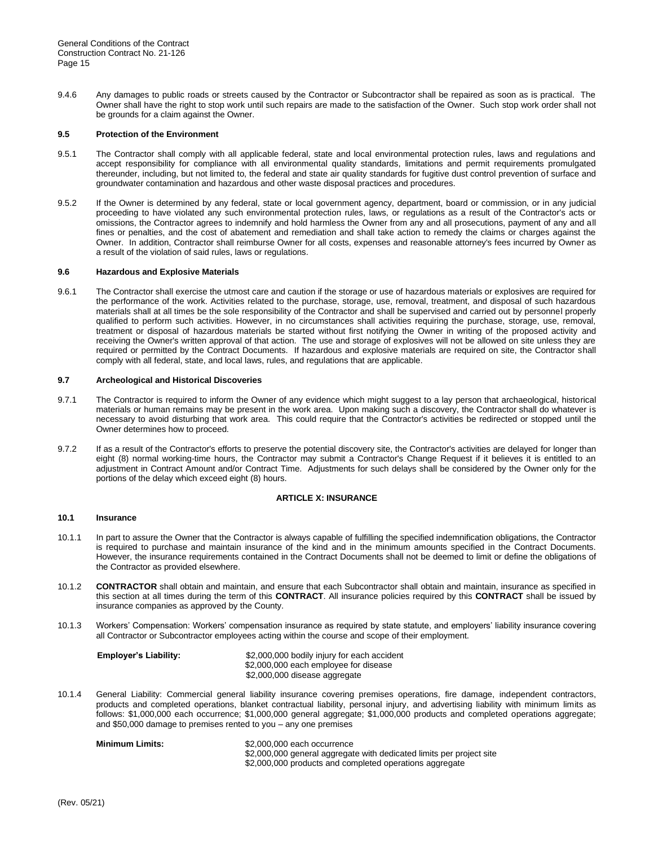9.4.6 Any damages to public roads or streets caused by the Contractor or Subcontractor shall be repaired as soon as is practical. The Owner shall have the right to stop work until such repairs are made to the satisfaction of the Owner. Such stop work order shall not be grounds for a claim against the Owner.

#### **9.5 Protection of the Environment**

- 9.5.1 The Contractor shall comply with all applicable federal, state and local environmental protection rules, laws and regulations and accept responsibility for compliance with all environmental quality standards, limitations and permit requirements promulgated thereunder, including, but not limited to, the federal and state air quality standards for fugitive dust control prevention of surface and groundwater contamination and hazardous and other waste disposal practices and procedures.
- 9.5.2 If the Owner is determined by any federal, state or local government agency, department, board or commission, or in any judicial proceeding to have violated any such environmental protection rules, laws, or regulations as a result of the Contractor's acts or omissions, the Contractor agrees to indemnify and hold harmless the Owner from any and all prosecutions, payment of any and all fines or penalties, and the cost of abatement and remediation and shall take action to remedy the claims or charges against the Owner. In addition, Contractor shall reimburse Owner for all costs, expenses and reasonable attorney's fees incurred by Owner as a result of the violation of said rules, laws or regulations.

# **9.6 Hazardous and Explosive Materials**

9.6.1 The Contractor shall exercise the utmost care and caution if the storage or use of hazardous materials or explosives are required for the performance of the work. Activities related to the purchase, storage, use, removal, treatment, and disposal of such hazardous materials shall at all times be the sole responsibility of the Contractor and shall be supervised and carried out by personnel properly qualified to perform such activities. However, in no circumstances shall activities requiring the purchase, storage, use, removal, treatment or disposal of hazardous materials be started without first notifying the Owner in writing of the proposed activity and receiving the Owner's written approval of that action. The use and storage of explosives will not be allowed on site unless they are required or permitted by the Contract Documents. If hazardous and explosive materials are required on site, the Contractor shall comply with all federal, state, and local laws, rules, and regulations that are applicable.

# **9.7 Archeological and Historical Discoveries**

- 9.7.1 The Contractor is required to inform the Owner of any evidence which might suggest to a lay person that archaeological, historical materials or human remains may be present in the work area. Upon making such a discovery, the Contractor shall do whatever is necessary to avoid disturbing that work area. This could require that the Contractor's activities be redirected or stopped until the Owner determines how to proceed.
- 9.7.2 If as a result of the Contractor's efforts to preserve the potential discovery site, the Contractor's activities are delayed for longer than eight (8) normal working-time hours, the Contractor may submit a Contractor's Change Request if it believes it is entitled to an adjustment in Contract Amount and/or Contract Time. Adjustments for such delays shall be considered by the Owner only for the portions of the delay which exceed eight (8) hours.

# **ARTICLE X: INSURANCE**

#### **10.1 Insurance**

- 10.1.1 In part to assure the Owner that the Contractor is always capable of fulfilling the specified indemnification obligations, the Contractor is required to purchase and maintain insurance of the kind and in the minimum amounts specified in the Contract Documents. However, the insurance requirements contained in the Contract Documents shall not be deemed to limit or define the obligations of the Contractor as provided elsewhere.
- 10.1.2 **CONTRACTOR** shall obtain and maintain, and ensure that each Subcontractor shall obtain and maintain, insurance as specified in this section at all times during the term of this **CONTRACT**. All insurance policies required by this **CONTRACT** shall be issued by insurance companies as approved by the County.
- 10.1.3 Workers' Compensation: Workers' compensation insurance as required by state statute, and employers' liability insurance covering all Contractor or Subcontractor employees acting within the course and scope of their employment.

| <b>Employer's Liability:</b> | \$2,000,000 bodily injury for each accident |
|------------------------------|---------------------------------------------|
|                              | \$2,000,000 each employee for disease       |
|                              | \$2,000,000 disease aggregate               |

10.1.4 General Liability: Commercial general liability insurance covering premises operations, fire damage, independent contractors, products and completed operations, blanket contractual liability, personal injury, and advertising liability with minimum limits as follows: \$1,000,000 each occurrence; \$1,000,000 general aggregate; \$1,000,000 products and completed operations aggregate; and \$50,000 damage to premises rented to you – any one premises

| Minimum Limits: | \$2,000,000 each occurrence                                          |
|-----------------|----------------------------------------------------------------------|
|                 | \$2,000,000 general aggregate with dedicated limits per project site |
|                 | \$2,000,000 products and completed operations aggregate              |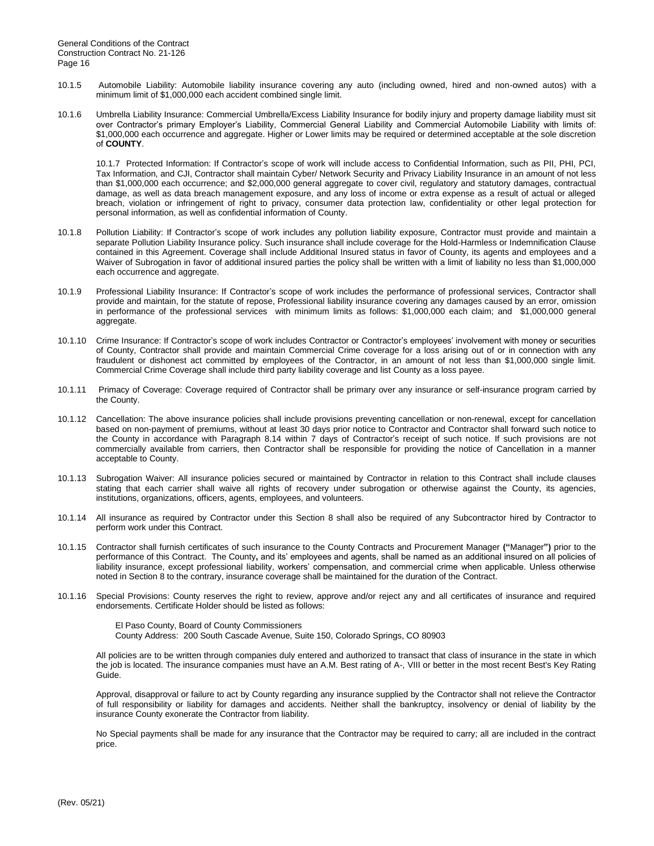- 10.1.5 Automobile Liability: Automobile liability insurance covering any auto (including owned, hired and non-owned autos) with a minimum limit of \$1,000,000 each accident combined single limit.
- 10.1.6 Umbrella Liability Insurance: Commercial Umbrella/Excess Liability Insurance for bodily injury and property damage liability must sit over Contractor's primary Employer's Liability, Commercial General Liability and Commercial Automobile Liability with limits of: \$1,000,000 each occurrence and aggregate. Higher or Lower limits may be required or determined acceptable at the sole discretion of **COUNTY**.

10.1.7 Protected Information: If Contractor's scope of work will include access to Confidential Information, such as PII, PHI, PCI, Tax Information, and CJI, Contractor shall maintain Cyber/ Network Security and Privacy Liability Insurance in an amount of not less than \$1,000,000 each occurrence; and \$2,000,000 general aggregate to cover civil, regulatory and statutory damages, contractual damage, as well as data breach management exposure, and any loss of income or extra expense as a result of actual or alleged breach, violation or infringement of right to privacy, consumer data protection law, confidentiality or other legal protection for personal information, as well as confidential information of County.

- 10.1.8 Pollution Liability: If Contractor's scope of work includes any pollution liability exposure, Contractor must provide and maintain a separate Pollution Liability Insurance policy. Such insurance shall include coverage for the Hold-Harmless or Indemnification Clause contained in this Agreement. Coverage shall include Additional Insured status in favor of County, its agents and employees and a Waiver of Subrogation in favor of additional insured parties the policy shall be written with a limit of liability no less than \$1,000,000 each occurrence and aggregate.
- 10.1.9 Professional Liability Insurance: If Contractor's scope of work includes the performance of professional services, Contractor shall provide and maintain, for the statute of repose, Professional liability insurance covering any damages caused by an error, omission in performance of the professional services with minimum limits as follows: \$1,000,000 each claim; and \$1,000,000 general aggregate.
- 10.1.10 Crime Insurance: If Contractor's scope of work includes Contractor or Contractor's employees' involvement with money or securities of County, Contractor shall provide and maintain Commercial Crime coverage for a loss arising out of or in connection with any fraudulent or dishonest act committed by employees of the Contractor, in an amount of not less than \$1,000,000 single limit. Commercial Crime Coverage shall include third party liability coverage and list County as a loss payee.
- 10.1.11 Primacy of Coverage: Coverage required of Contractor shall be primary over any insurance or self-insurance program carried by the County.
- 10.1.12 Cancellation: The above insurance policies shall include provisions preventing cancellation or non-renewal, except for cancellation based on non-payment of premiums, without at least 30 days prior notice to Contractor and Contractor shall forward such notice to the County in accordance with Paragraph 8.14 within 7 days of Contractor's receipt of such notice. If such provisions are not commercially available from carriers, then Contractor shall be responsible for providing the notice of Cancellation in a manner acceptable to County.
- 10.1.13 Subrogation Waiver: All insurance policies secured or maintained by Contractor in relation to this Contract shall include clauses stating that each carrier shall waive all rights of recovery under subrogation or otherwise against the County, its agencies, institutions, organizations, officers, agents, employees, and volunteers.
- 10.1.14 All insurance as required by Contractor under this Section 8 shall also be required of any Subcontractor hired by Contractor to perform work under this Contract.
- 10.1.15 Contractor shall furnish certificates of such insurance to the County Contracts and Procurement Manager **("**Manager**")** prior to the performance of this Contract. The County**,** and its' employees and agents, shall be named as an additional insured on all policies of liability insurance, except professional liability, workers' compensation, and commercial crime when applicable. Unless otherwise noted in Section 8 to the contrary, insurance coverage shall be maintained for the duration of the Contract.
- 10.1.16 Special Provisions: County reserves the right to review, approve and/or reject any and all certificates of insurance and required endorsements. Certificate Holder should be listed as follows:

El Paso County, Board of County Commissioners County Address: 200 South Cascade Avenue, Suite 150, Colorado Springs, CO 80903

All policies are to be written through companies duly entered and authorized to transact that class of insurance in the state in which the job is located. The insurance companies must have an A.M. Best rating of A-, VIII or better in the most recent Best's Key Rating Guide.

Approval, disapproval or failure to act by County regarding any insurance supplied by the Contractor shall not relieve the Contractor of full responsibility or liability for damages and accidents. Neither shall the bankruptcy, insolvency or denial of liability by the insurance County exonerate the Contractor from liability.

No Special payments shall be made for any insurance that the Contractor may be required to carry; all are included in the contract price.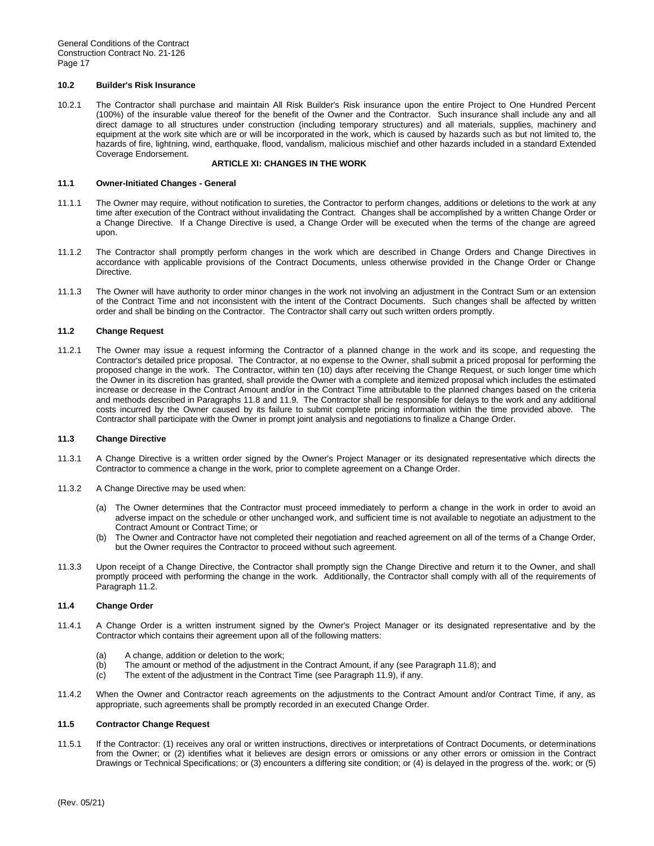#### **10.2 Builder's Risk Insurance**

10.2.1 The Contractor shall purchase and maintain All Risk Builder's Risk insurance upon the entire Project to One Hundred Percent (100%) of the insurable value thereof for the benefit of the Owner and the Contractor. Such insurance shall include any and all direct damage to all structures under construction (including temporary structures) and all materials, supplies, machinery and equipment at the work site which are or will be incorporated in the work, which is caused by hazards such as but not limited to, the hazards of fire, lightning, wind, earthquake, flood, vandalism, malicious mischief and other hazards included in a standard Extended Coverage Endorsement.

# **ARTICLE XI: CHANGES IN THE WORK**

#### **11.1 Owner-Initiated Changes - General**

- 11.1.1 The Owner may require, without notification to sureties, the Contractor to perform changes, additions or deletions to the work at any time after execution of the Contract without invalidating the Contract. Changes shall be accomplished by a written Change Order or a Change Directive. If a Change Directive is used, a Change Order will be executed when the terms of the change are agreed upon.
- 11.1.2 The Contractor shall promptly perform changes in the work which are described in Change Orders and Change Directives in accordance with applicable provisions of the Contract Documents, unless otherwise provided in the Change Order or Change Directive.
- 11.1.3 The Owner will have authority to order minor changes in the work not involving an adjustment in the Contract Sum or an extension of the Contract Time and not inconsistent with the intent of the Contract Documents. Such changes shall be affected by written order and shall be binding on the Contractor. The Contractor shall carry out such written orders promptly.

# **11.2 Change Request**

11.2.1 The Owner may issue a request informing the Contractor of a planned change in the work and its scope, and requesting the Contractor's detailed price proposal. The Contractor, at no expense to the Owner, shall submit a priced proposal for performing the proposed change in the work. The Contractor, within ten (10) days after receiving the Change Request, or such longer time which the Owner in its discretion has granted, shall provide the Owner with a complete and itemized proposal which includes the estimated increase or decrease in the Contract Amount and/or in the Contract Time attributable to the planned changes based on the criteria and methods described in Paragraphs 11.8 and 11.9. The Contractor shall be responsible for delays to the work and any additional costs incurred by the Owner caused by its failure to submit complete pricing information within the time provided above. The Contractor shall participate with the Owner in prompt joint analysis and negotiations to finalize a Change Order.

#### **11.3 Change Directive**

- 11.3.1 A Change Directive is a written order signed by the Owner's Project Manager or its designated representative which directs the Contractor to commence a change in the work, prior to complete agreement on a Change Order.
- 11.3.2 A Change Directive may be used when:
	- (a) The Owner determines that the Contractor must proceed immediately to perform a change in the work in order to avoid an adverse impact on the schedule or other unchanged work, and sufficient time is not available to negotiate an adjustment to the Contract Amount or Contract Time; or
	- (b) The Owner and Contractor have not completed their negotiation and reached agreement on all of the terms of a Change Order, but the Owner requires the Contractor to proceed without such agreement.
- 11.3.3 Upon receipt of a Change Directive, the Contractor shall promptly sign the Change Directive and return it to the Owner, and shall promptly proceed with performing the change in the work. Additionally, the Contractor shall comply with all of the requirements of Paragraph 11.2.

#### **11.4 Change Order**

- 11.4.1 A Change Order is a written instrument signed by the Owner's Project Manager or its designated representative and by the Contractor which contains their agreement upon all of the following matters:
	- (a) A change, addition or deletion to the work;
	- (b) The amount or method of the adjustment in the Contract Amount, if any (see Paragraph 11.8); and
	- $(c)$  The extent of the adjustment in the Contract Time (see Paragraph 11.9), if any.
- 11.4.2 When the Owner and Contractor reach agreements on the adjustments to the Contract Amount and/or Contract Time, if any, as appropriate, such agreements shall be promptly recorded in an executed Change Order.

#### **11.5 Contractor Change Request**

11.5.1 If the Contractor: (1) receives any oral or written instructions, directives or interpretations of Contract Documents, or determinations from the Owner; or (2) identifies what it believes are design errors or omissions or any other errors or omission in the Contract Drawings or Technical Specifications; or (3) encounters a differing site condition; or (4) is delayed in the progress of the. work; or (5)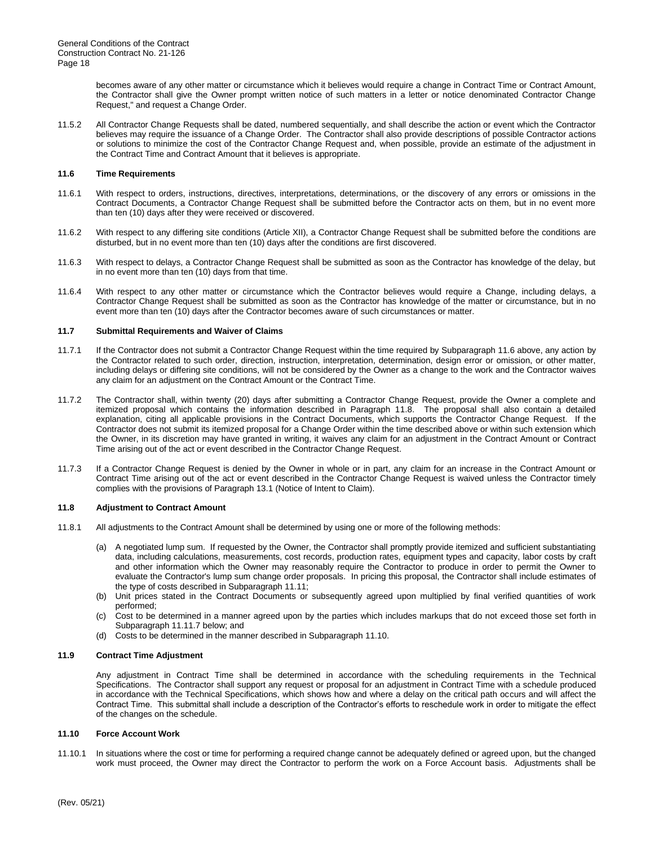becomes aware of any other matter or circumstance which it believes would require a change in Contract Time or Contract Amount, the Contractor shall give the Owner prompt written notice of such matters in a letter or notice denominated Contractor Change Request," and request a Change Order.

11.5.2 All Contractor Change Requests shall be dated, numbered sequentially, and shall describe the action or event which the Contractor believes may require the issuance of a Change Order. The Contractor shall also provide descriptions of possible Contractor actions or solutions to minimize the cost of the Contractor Change Request and, when possible, provide an estimate of the adjustment in the Contract Time and Contract Amount that it believes is appropriate.

#### **11.6 Time Requirements**

- 11.6.1 With respect to orders, instructions, directives, interpretations, determinations, or the discovery of any errors or omissions in the Contract Documents, a Contractor Change Request shall be submitted before the Contractor acts on them, but in no event more than ten (10) days after they were received or discovered.
- 11.6.2 With respect to any differing site conditions (Article XII), a Contractor Change Request shall be submitted before the conditions are disturbed, but in no event more than ten (10) days after the conditions are first discovered.
- 11.6.3 With respect to delays, a Contractor Change Request shall be submitted as soon as the Contractor has knowledge of the delay, but in no event more than ten (10) days from that time.
- 11.6.4 With respect to any other matter or circumstance which the Contractor believes would require a Change, including delays, a Contractor Change Request shall be submitted as soon as the Contractor has knowledge of the matter or circumstance, but in no event more than ten (10) days after the Contractor becomes aware of such circumstances or matter.

# **11.7 Submittal Requirements and Waiver of Claims**

- 11.7.1 If the Contractor does not submit a Contractor Change Request within the time required by Subparagraph 11.6 above, any action by the Contractor related to such order, direction, instruction, interpretation, determination, design error or omission, or other matter, including delays or differing site conditions, will not be considered by the Owner as a change to the work and the Contractor waives any claim for an adjustment on the Contract Amount or the Contract Time.
- 11.7.2 The Contractor shall, within twenty (20) days after submitting a Contractor Change Request, provide the Owner a complete and itemized proposal which contains the information described in Paragraph 11.8. The proposal shall also contain a detailed explanation, citing all applicable provisions in the Contract Documents, which supports the Contractor Change Request. If the Contractor does not submit its itemized proposal for a Change Order within the time described above or within such extension which the Owner, in its discretion may have granted in writing, it waives any claim for an adjustment in the Contract Amount or Contract Time arising out of the act or event described in the Contractor Change Request.
- 11.7.3 If a Contractor Change Request is denied by the Owner in whole or in part, any claim for an increase in the Contract Amount or Contract Time arising out of the act or event described in the Contractor Change Request is waived unless the Contractor timely complies with the provisions of Paragraph 13.1 (Notice of Intent to Claim).

# **11.8 Adjustment to Contract Amount**

- 11.8.1 All adjustments to the Contract Amount shall be determined by using one or more of the following methods:
	- (a) A negotiated lump sum. If requested by the Owner, the Contractor shall promptly provide itemized and sufficient substantiating data, including calculations, measurements, cost records, production rates, equipment types and capacity, labor costs by craft and other information which the Owner may reasonably require the Contractor to produce in order to permit the Owner to evaluate the Contractor's lump sum change order proposals. In pricing this proposal, the Contractor shall include estimates of the type of costs described in Subparagraph 11.11;
	- (b) Unit prices stated in the Contract Documents or subsequently agreed upon multiplied by final verified quantities of work performed;
	- (c) Cost to be determined in a manner agreed upon by the parties which includes markups that do not exceed those set forth in Subparagraph 11.11.7 below; and
	- (d) Costs to be determined in the manner described in Subparagraph 11.10.

#### **11.9 Contract Time Adjustment**

Any adjustment in Contract Time shall be determined in accordance with the scheduling requirements in the Technical Specifications. The Contractor shall support any request or proposal for an adjustment in Contract Time with a schedule produced in accordance with the Technical Specifications, which shows how and where a delay on the critical path occurs and will affect the Contract Time. This submittal shall include a description of the Contractor's efforts to reschedule work in order to mitigate the effect of the changes on the schedule.

# **11.10 Force Account Work**

11.10.1 In situations where the cost or time for performing a required change cannot be adequately defined or agreed upon, but the changed work must proceed, the Owner may direct the Contractor to perform the work on a Force Account basis. Adjustments shall be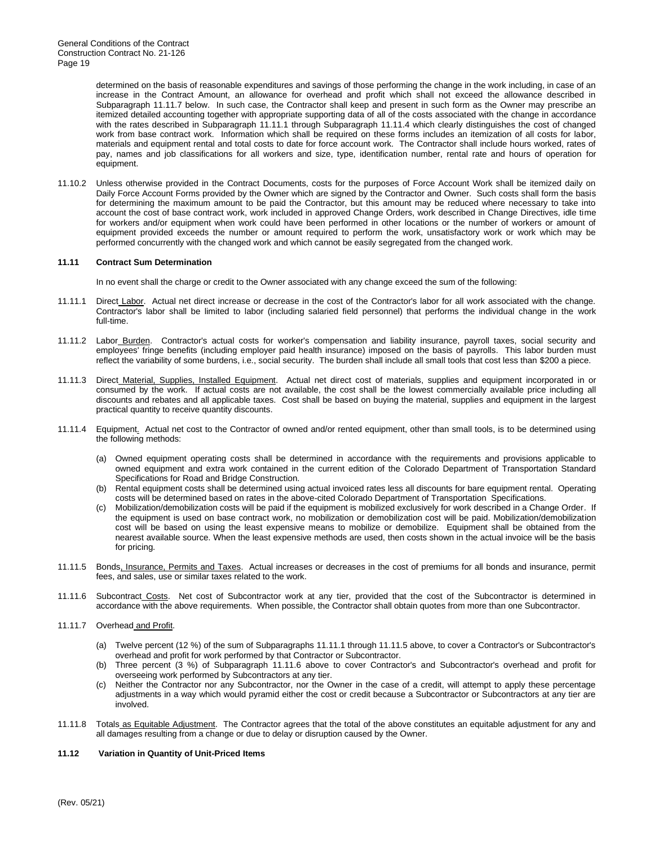determined on the basis of reasonable expenditures and savings of those performing the change in the work including, in case of an increase in the Contract Amount, an allowance for overhead and profit which shall not exceed the allowance described in Subparagraph 11.11.7 below. In such case, the Contractor shall keep and present in such form as the Owner may prescribe an itemized detailed accounting together with appropriate supporting data of all of the costs associated with the change in accordance with the rates described in Subparagraph 11.11.1 through Subparagraph 11.11.4 which clearly distinguishes the cost of changed work from base contract work. Information which shall be required on these forms includes an itemization of all costs for labor, materials and equipment rental and total costs to date for force account work. The Contractor shall include hours worked, rates of pay, names and job classifications for all workers and size, type, identification number, rental rate and hours of operation for equipment.

11.10.2 Unless otherwise provided in the Contract Documents, costs for the purposes of Force Account Work shall be itemized daily on Daily Force Account Forms provided by the Owner which are signed by the Contractor and Owner. Such costs shall form the basis for determining the maximum amount to be paid the Contractor, but this amount may be reduced where necessary to take into account the cost of base contract work, work included in approved Change Orders, work described in Change Directives, idle time for workers and/or equipment when work could have been performed in other locations or the number of workers or amount of equipment provided exceeds the number or amount required to perform the work, unsatisfactory work or work which may be performed concurrently with the changed work and which cannot be easily segregated from the changed work.

# **11.11 Contract Sum Determination**

In no event shall the charge or credit to the Owner associated with any change exceed the sum of the following:

- 11.11.1 Direct Labor. Actual net direct increase or decrease in the cost of the Contractor's labor for all work associated with the change. Contractor's labor shall be limited to labor (including salaried field personnel) that performs the individual change in the work full-time.
- 11.11.2 Labor\_Burden. Contractor's actual costs for worker's compensation and liability insurance, payroll taxes, social security and employees' fringe benefits (including employer paid health insurance) imposed on the basis of payrolls. This labor burden must reflect the variability of some burdens, i.e., social security. The burden shall include all small tools that cost less than \$200 a piece.
- 11.11.3 Direct Material, Supplies, Installed Equipment. Actual net direct cost of materials, supplies and equipment incorporated in or consumed by the work. If actual costs are not available, the cost shall be the lowest commercially available price including all discounts and rebates and all applicable taxes. Cost shall be based on buying the material, supplies and equipment in the largest practical quantity to receive quantity discounts.
- 11.11.4 Equipment. Actual net cost to the Contractor of owned and/or rented equipment, other than small tools, is to be determined using the following methods:
	- (a) Owned equipment operating costs shall be determined in accordance with the requirements and provisions applicable to owned equipment and extra work contained in the current edition of the Colorado Department of Transportation Standard Specifications for Road and Bridge Construction.
	- (b) Rental equipment costs shall be determined using actual invoiced rates less all discounts for bare equipment rental. Operating costs will be determined based on rates in the above-cited Colorado Department of Transportation Specifications.
	- (c) Mobilization/demobilization costs will be paid if the equipment is mobilized exclusively for work described in a Change Order. If the equipment is used on base contract work, no mobilization or demobilization cost will be paid. Mobilization/demobilization cost will be based on using the least expensive means to mobilize or demobilize. Equipment shall be obtained from the nearest available source. When the least expensive methods are used, then costs shown in the actual invoice will be the basis for pricing.
- 11.11.5 Bonds, Insurance, Permits and Taxes. Actual increases or decreases in the cost of premiums for all bonds and insurance, permit fees, and sales, use or similar taxes related to the work.
- 11.11.6 Subcontract Costs. Net cost of Subcontractor work at any tier, provided that the cost of the Subcontractor is determined in accordance with the above requirements. When possible, the Contractor shall obtain quotes from more than one Subcontractor.
- 11.11.7 Overhead and Profit.
	- (a) Twelve percent (12 %) of the sum of Subparagraphs 11.11.1 through 11.11.5 above, to cover a Contractor's or Subcontractor's overhead and profit for work performed by that Contractor or Subcontractor.
	- (b) Three percent (3 %) of Subparagraph 11.11.6 above to cover Contractor's and Subcontractor's overhead and profit for overseeing work performed by Subcontractors at any tier.
	- (c) Neither the Contractor nor any Subcontractor, nor the Owner in the case of a credit, will attempt to apply these percentage adjustments in a way which would pyramid either the cost or credit because a Subcontractor or Subcontractors at any tier are involved.
- 11.11.8 Totals as Equitable Adjustment. The Contractor agrees that the total of the above constitutes an equitable adjustment for any and all damages resulting from a change or due to delay or disruption caused by the Owner.

#### **11.12 Variation in Quantity of Unit-Priced Items**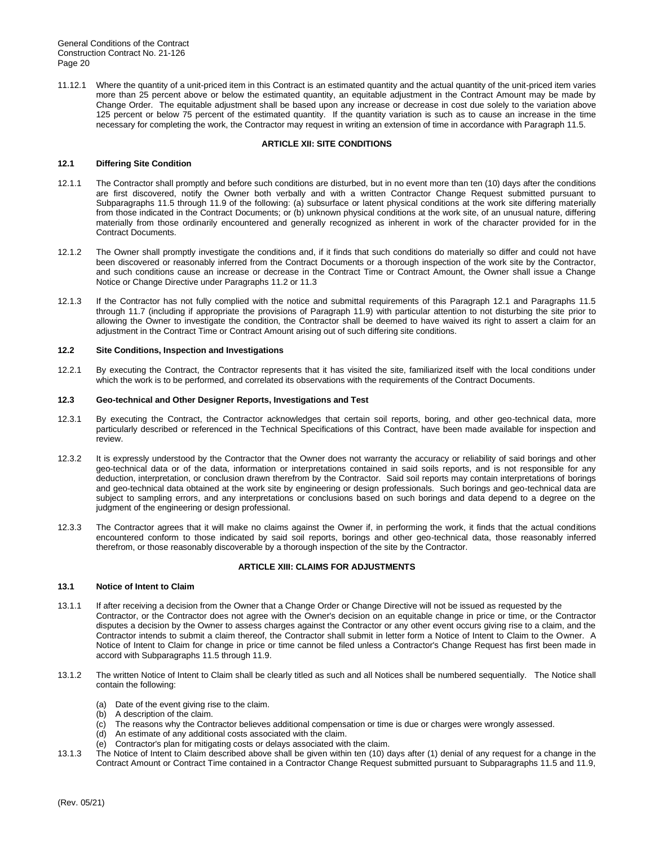11.12.1 Where the quantity of a unit-priced item in this Contract is an estimated quantity and the actual quantity of the unit-priced item varies more than 25 percent above or below the estimated quantity, an equitable adjustment in the Contract Amount may be made by Change Order. The equitable adjustment shall be based upon any increase or decrease in cost due solely to the variation above 125 percent or below 75 percent of the estimated quantity. If the quantity variation is such as to cause an increase in the time necessary for completing the work, the Contractor may request in writing an extension of time in accordance with Paragraph 11.5.

# **ARTICLE XII: SITE CONDITIONS**

# **12.1 Differing Site Condition**

- 12.1.1 The Contractor shall promptly and before such conditions are disturbed, but in no event more than ten (10) days after the conditions are first discovered, notify the Owner both verbally and with a written Contractor Change Request submitted pursuant to Subparagraphs 11.5 through 11.9 of the following: (a) subsurface or latent physical conditions at the work site differing materially from those indicated in the Contract Documents; or (b) unknown physical conditions at the work site, of an unusual nature, differing materially from those ordinarily encountered and generally recognized as inherent in work of the character provided for in the Contract Documents.
- 12.1.2 The Owner shall promptly investigate the conditions and, if it finds that such conditions do materially so differ and could not have been discovered or reasonably inferred from the Contract Documents or a thorough inspection of the work site by the Contractor, and such conditions cause an increase or decrease in the Contract Time or Contract Amount, the Owner shall issue a Change Notice or Change Directive under Paragraphs 11.2 or 11.3
- 12.1.3 If the Contractor has not fully complied with the notice and submittal requirements of this Paragraph 12.1 and Paragraphs 11.5 through 11.7 (including if appropriate the provisions of Paragraph 11.9) with particular attention to not disturbing the site prior to allowing the Owner to investigate the condition, the Contractor shall be deemed to have waived its right to assert a claim for an adjustment in the Contract Time or Contract Amount arising out of such differing site conditions.

#### **12.2 Site Conditions, Inspection and Investigations**

12.2.1 By executing the Contract, the Contractor represents that it has visited the site, familiarized itself with the local conditions under which the work is to be performed, and correlated its observations with the requirements of the Contract Documents.

#### **12.3 Geo-technical and Other Designer Reports, Investigations and Test**

- 12.3.1 By executing the Contract, the Contractor acknowledges that certain soil reports, boring, and other geo-technical data, more particularly described or referenced in the Technical Specifications of this Contract, have been made available for inspection and review.
- 12.3.2 It is expressly understood by the Contractor that the Owner does not warranty the accuracy or reliability of said borings and other geo-technical data or of the data, information or interpretations contained in said soils reports, and is not responsible for any deduction, interpretation, or conclusion drawn therefrom by the Contractor. Said soil reports may contain interpretations of borings and geo-technical data obtained at the work site by engineering or design professionals. Such borings and geo-technical data are subject to sampling errors, and any interpretations or conclusions based on such borings and data depend to a degree on the judgment of the engineering or design professional.
- 12.3.3 The Contractor agrees that it will make no claims against the Owner if, in performing the work, it finds that the actual conditions encountered conform to those indicated by said soil reports, borings and other geo-technical data, those reasonably inferred therefrom, or those reasonably discoverable by a thorough inspection of the site by the Contractor.

#### **ARTICLE XIII: CLAIMS FOR ADJUSTMENTS**

# **13.1 Notice of Intent to Claim**

- 13.1.1 If after receiving a decision from the Owner that a Change Order or Change Directive will not be issued as requested by the Contractor, or the Contractor does not agree with the Owner's decision on an equitable change in price or time, or the Contractor disputes a decision by the Owner to assess charges against the Contractor or any other event occurs giving rise to a claim, and the Contractor intends to submit a claim thereof, the Contractor shall submit in letter form a Notice of Intent to Claim to the Owner. A Notice of Intent to Claim for change in price or time cannot be filed unless a Contractor's Change Request has first been made in accord with Subparagraphs 11.5 through 11.9.
- 13.1.2 The written Notice of Intent to Claim shall be clearly titled as such and all Notices shall be numbered sequentially. The Notice shall contain the following:
	- (a) Date of the event giving rise to the claim.
	- (b) A description of the claim.
	- (c) The reasons why the Contractor believes additional compensation or time is due or charges were wrongly assessed.
	- (d) An estimate of any additional costs associated with the claim.
	- (e) Contractor's plan for mitigating costs or delays associated with the claim.
- 13.1.3 The Notice of Intent to Claim described above shall be given within ten (10) days after (1) denial of any request for a change in the Contract Amount or Contract Time contained in a Contractor Change Request submitted pursuant to Subparagraphs 11.5 and 11.9,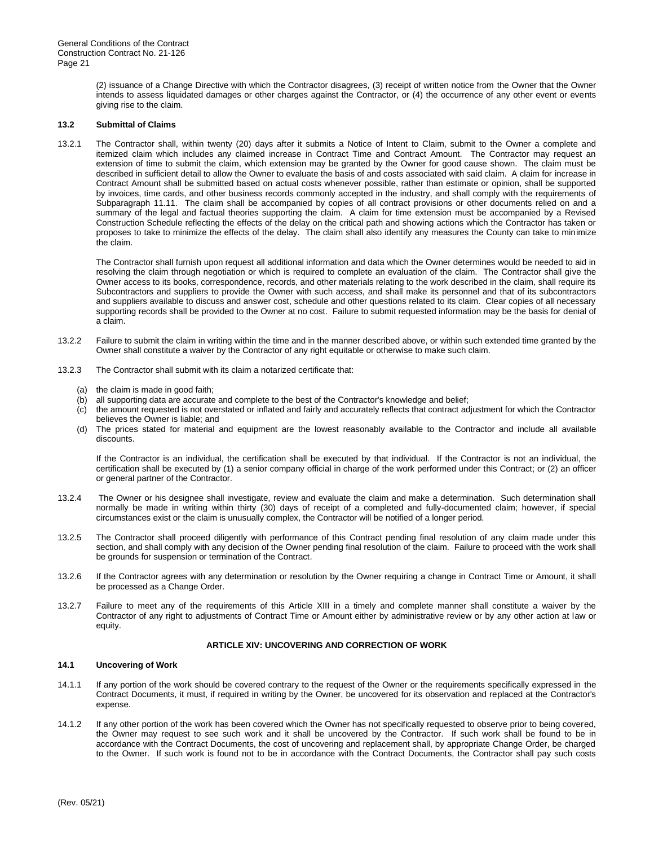> (2) issuance of a Change Directive with which the Contractor disagrees, (3) receipt of written notice from the Owner that the Owner intends to assess liquidated damages or other charges against the Contractor, or (4) the occurrence of any other event or events giving rise to the claim.

# **13.2 Submittal of Claims**

13.2.1 The Contractor shall, within twenty (20) days after it submits a Notice of Intent to Claim, submit to the Owner a complete and itemized claim which includes any claimed increase in Contract Time and Contract Amount. The Contractor may request an extension of time to submit the claim, which extension may be granted by the Owner for good cause shown. The claim must be described in sufficient detail to allow the Owner to evaluate the basis of and costs associated with said claim. A claim for increase in Contract Amount shall be submitted based on actual costs whenever possible, rather than estimate or opinion, shall be supported by invoices, time cards, and other business records commonly accepted in the industry, and shall comply with the requirements of Subparagraph 11.11. The claim shall be accompanied by copies of all contract provisions or other documents relied on and a summary of the legal and factual theories supporting the claim. A claim for time extension must be accompanied by a Revised Construction Schedule reflecting the effects of the delay on the critical path and showing actions which the Contractor has taken or proposes to take to minimize the effects of the delay. The claim shall also identify any measures the County can take to minimize the claim.

The Contractor shall furnish upon request all additional information and data which the Owner determines would be needed to aid in resolving the claim through negotiation or which is required to complete an evaluation of the claim. The Contractor shall give the Owner access to its books, correspondence, records, and other materials relating to the work described in the claim, shall require its Subcontractors and suppliers to provide the Owner with such access, and shall make its personnel and that of its subcontractors and suppliers available to discuss and answer cost, schedule and other questions related to its claim. Clear copies of all necessary supporting records shall be provided to the Owner at no cost. Failure to submit requested information may be the basis for denial of a claim.

- 13.2.2 Failure to submit the claim in writing within the time and in the manner described above, or within such extended time granted by the Owner shall constitute a waiver by the Contractor of any right equitable or otherwise to make such claim.
- 13.2.3 The Contractor shall submit with its claim a notarized certificate that:
	- (a) the claim is made in good faith;
	- (b) all supporting data are accurate and complete to the best of the Contractor's knowledge and belief;
	- (c) the amount requested is not overstated or inflated and fairly and accurately reflects that contract adjustment for which the Contractor believes the Owner is liable; and
	- (d) The prices stated for material and equipment are the lowest reasonably available to the Contractor and include all available discounts.

If the Contractor is an individual, the certification shall be executed by that individual. If the Contractor is not an individual, the certification shall be executed by (1) a senior company official in charge of the work performed under this Contract; or (2) an officer or general partner of the Contractor.

- 13.2.4 The Owner or his designee shall investigate, review and evaluate the claim and make a determination. Such determination shall normally be made in writing within thirty (30) days of receipt of a completed and fully-documented claim; however, if special circumstances exist or the claim is unusually complex, the Contractor will be notified of a longer period.
- 13.2.5 The Contractor shall proceed diligently with performance of this Contract pending final resolution of any claim made under this section, and shall comply with any decision of the Owner pending final resolution of the claim. Failure to proceed with the work shall be grounds for suspension or termination of the Contract.
- 13.2.6 If the Contractor agrees with any determination or resolution by the Owner requiring a change in Contract Time or Amount, it shall be processed as a Change Order.
- 13.2.7 Failure to meet any of the requirements of this Article XIII in a timely and complete manner shall constitute a waiver by the Contractor of any right to adjustments of Contract Time or Amount either by administrative review or by any other action at law or equity.

#### **ARTICLE XIV: UNCOVERING AND CORRECTION OF WORK**

#### **14.1 Uncovering of Work**

- 14.1.1 If any portion of the work should be covered contrary to the request of the Owner or the requirements specifically expressed in the Contract Documents, it must, if required in writing by the Owner, be uncovered for its observation and replaced at the Contractor's expense.
- 14.1.2 If any other portion of the work has been covered which the Owner has not specifically requested to observe prior to being covered, the Owner may request to see such work and it shall be uncovered by the Contractor. If such work shall be found to be in accordance with the Contract Documents, the cost of uncovering and replacement shall, by appropriate Change Order, be charged to the Owner. If such work is found not to be in accordance with the Contract Documents, the Contractor shall pay such costs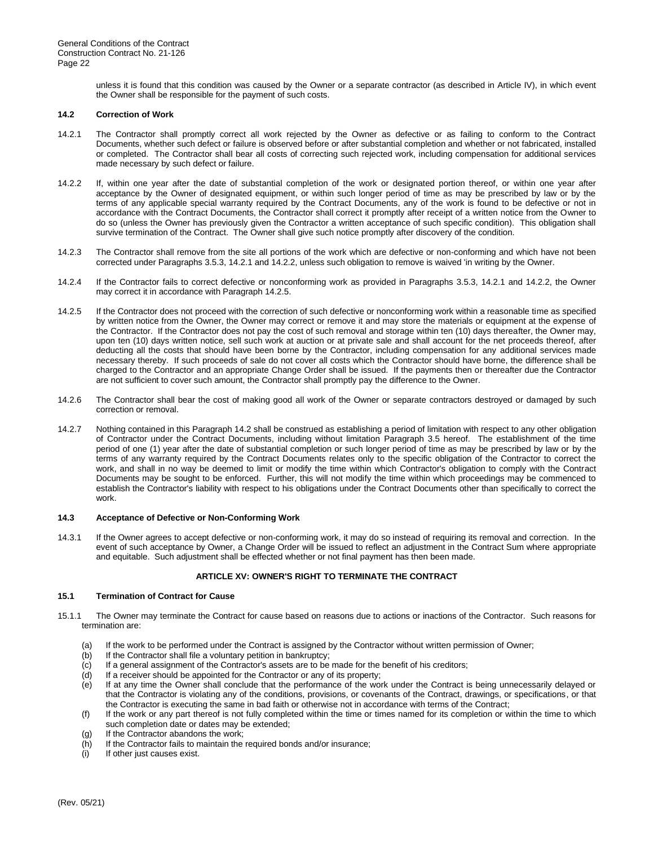unless it is found that this condition was caused by the Owner or a separate contractor (as described in Article IV), in which event the Owner shall be responsible for the payment of such costs.

#### **14.2 Correction of Work**

- 14.2.1 The Contractor shall promptly correct all work rejected by the Owner as defective or as failing to conform to the Contract Documents, whether such defect or failure is observed before or after substantial completion and whether or not fabricated, installed or completed. The Contractor shall bear all costs of correcting such rejected work, including compensation for additional services made necessary by such defect or failure.
- 14.2.2 If, within one year after the date of substantial completion of the work or designated portion thereof, or within one year after acceptance by the Owner of designated equipment, or within such longer period of time as may be prescribed by law or by the terms of any applicable special warranty required by the Contract Documents, any of the work is found to be defective or not in accordance with the Contract Documents, the Contractor shall correct it promptly after receipt of a written notice from the Owner to do so (unless the Owner has previously given the Contractor a written acceptance of such specific condition). This obligation shall survive termination of the Contract. The Owner shall give such notice promptly after discovery of the condition.
- 14.2.3 The Contractor shall remove from the site all portions of the work which are defective or non-conforming and which have not been corrected under Paragraphs 3.5.3, 14.2.1 and 14.2.2, unless such obligation to remove is waived 'in writing by the Owner.
- 14.2.4 If the Contractor fails to correct defective or nonconforming work as provided in Paragraphs 3.5.3, 14.2.1 and 14.2.2, the Owner may correct it in accordance with Paragraph 14.2.5.
- 14.2.5 If the Contractor does not proceed with the correction of such defective or nonconforming work within a reasonable time as specified by written notice from the Owner, the Owner may correct or remove it and may store the materials or equipment at the expense of the Contractor. If the Contractor does not pay the cost of such removal and storage within ten (10) days thereafter, the Owner may, upon ten (10) days written notice, sell such work at auction or at private sale and shall account for the net proceeds thereof, after deducting all the costs that should have been borne by the Contractor, including compensation for any additional services made necessary thereby. If such proceeds of sale do not cover all costs which the Contractor should have borne, the difference shall be charged to the Contractor and an appropriate Change Order shall be issued. If the payments then or thereafter due the Contractor are not sufficient to cover such amount, the Contractor shall promptly pay the difference to the Owner.
- 14.2.6 The Contractor shall bear the cost of making good all work of the Owner or separate contractors destroyed or damaged by such correction or removal.
- 14.2.7 Nothing contained in this Paragraph 14.2 shall be construed as establishing a period of limitation with respect to any other obligation of Contractor under the Contract Documents, including without limitation Paragraph 3.5 hereof. The establishment of the time period of one (1) year after the date of substantial completion or such longer period of time as may be prescribed by law or by the terms of any warranty required by the Contract Documents relates only to the specific obligation of the Contractor to correct the work, and shall in no way be deemed to limit or modify the time within which Contractor's obligation to comply with the Contract Documents may be sought to be enforced. Further, this will not modify the time within which proceedings may be commenced to establish the Contractor's liability with respect to his obligations under the Contract Documents other than specifically to correct the work.

#### **14.3 Acceptance of Defective or Non-Conforming Work**

14.3.1 If the Owner agrees to accept defective or non-conforming work, it may do so instead of requiring its removal and correction. In the event of such acceptance by Owner, a Change Order will be issued to reflect an adjustment in the Contract Sum where appropriate and equitable. Such adjustment shall be effected whether or not final payment has then been made.

# **ARTICLE XV: OWNER'S RIGHT TO TERMINATE THE CONTRACT**

# **15.1 Termination of Contract for Cause**

- 15.1.1 The Owner may terminate the Contract for cause based on reasons due to actions or inactions of the Contractor. Such reasons for termination are:
	- (a) If the work to be performed under the Contract is assigned by the Contractor without written permission of Owner;
	- (b) If the Contractor shall file a voluntary petition in bankruptcy;
	- (c) If a general assignment of the Contractor's assets are to be made for the benefit of his creditors;
	- (d) If a receiver should be appointed for the Contractor or any of its property;
	- (e) If at any time the Owner shall conclude that the performance of the work under the Contract is being unnecessarily delayed or that the Contractor is violating any of the conditions, provisions, or covenants of the Contract, drawings, or specifications, or that the Contractor is executing the same in bad faith or otherwise not in accordance with terms of the Contract;
	- (f) If the work or any part thereof is not fully completed within the time or times named for its completion or within the time to which such completion date or dates may be extended;
	- (g) If the Contractor abandons the work;
	- $(h)$  If the Contractor fails to maintain the required bonds and/or insurance; i) If other just causes exist.
	- If other just causes exist.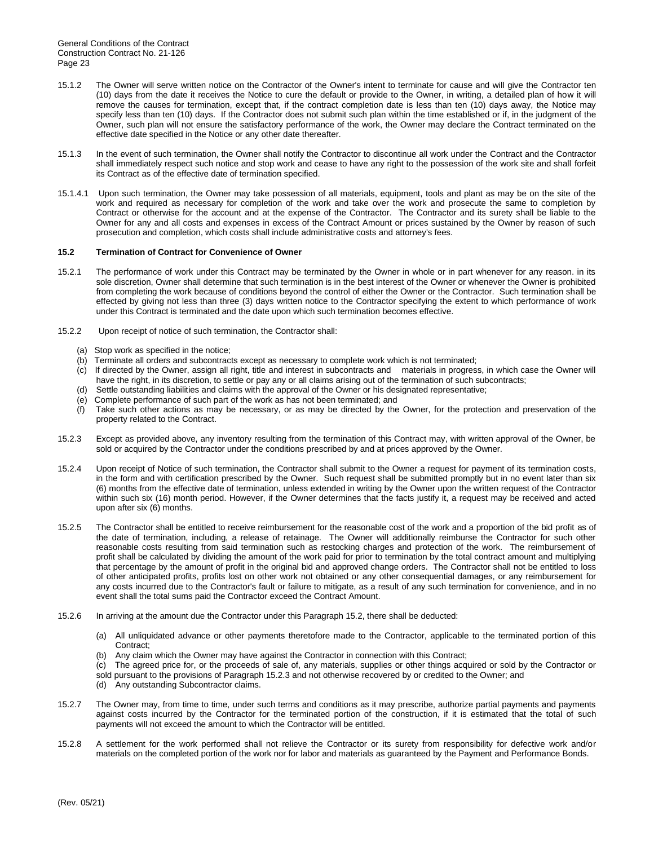- 15.1.2 The Owner will serve written notice on the Contractor of the Owner's intent to terminate for cause and will give the Contractor ten (10) days from the date it receives the Notice to cure the default or provide to the Owner, in writing, a detailed plan of how it will remove the causes for termination, except that, if the contract completion date is less than ten (10) days away, the Notice may specify less than ten (10) days. If the Contractor does not submit such plan within the time established or if, in the judgment of the Owner, such plan will not ensure the satisfactory performance of the work, the Owner may declare the Contract terminated on the effective date specified in the Notice or any other date thereafter.
- 15.1.3 In the event of such termination, the Owner shall notify the Contractor to discontinue all work under the Contract and the Contractor shall immediately respect such notice and stop work and cease to have any right to the possession of the work site and shall forfeit its Contract as of the effective date of termination specified.
- 15.1.4.1 Upon such termination, the Owner may take possession of all materials, equipment, tools and plant as may be on the site of the work and required as necessary for completion of the work and take over the work and prosecute the same to completion by Contract or otherwise for the account and at the expense of the Contractor. The Contractor and its surety shall be liable to the Owner for any and all costs and expenses in excess of the Contract Amount or prices sustained by the Owner by reason of such prosecution and completion, which costs shall include administrative costs and attorney's fees.

# **15.2 Termination of Contract for Convenience of Owner**

- 15.2.1 The performance of work under this Contract may be terminated by the Owner in whole or in part whenever for any reason. in its sole discretion, Owner shall determine that such termination is in the best interest of the Owner or whenever the Owner is prohibited from completing the work because of conditions beyond the control of either the Owner or the Contractor. Such termination shall be effected by giving not less than three (3) days written notice to the Contractor specifying the extent to which performance of work under this Contract is terminated and the date upon which such termination becomes effective.
- 15.2.2 Upon receipt of notice of such termination, the Contractor shall:
	- (a) Stop work as specified in the notice;
	- (b) Terminate all orders and subcontracts except as necessary to complete work which is not terminated;
	- (c) If directed by the Owner, assign all right, title and interest in subcontracts and materials in progress, in which case the Owner will have the right, in its discretion, to settle or pay any or all claims arising out of the termination of such subcontracts;
	- (d) Settle outstanding liabilities and claims with the approval of the Owner or his designated representative;
	- (e) Complete performance of such part of the work as has not been terminated; and
	- (f) Take such other actions as may be necessary, or as may be directed by the Owner, for the protection and preservation of the property related to the Contract.
- 15.2.3 Except as provided above, any inventory resulting from the termination of this Contract may, with written approval of the Owner, be sold or acquired by the Contractor under the conditions prescribed by and at prices approved by the Owner.
- 15.2.4 Upon receipt of Notice of such termination, the Contractor shall submit to the Owner a request for payment of its termination costs, in the form and with certification prescribed by the Owner. Such request shall be submitted promptly but in no event later than six (6) months from the effective date of termination, unless extended in writing by the Owner upon the written request of the Contractor within such six (16) month period. However, if the Owner determines that the facts justify it, a request may be received and acted upon after six (6) months.
- 15.2.5 The Contractor shall be entitled to receive reimbursement for the reasonable cost of the work and a proportion of the bid profit as of the date of termination, including, a release of retainage. The Owner will additionally reimburse the Contractor for such other reasonable costs resulting from said termination such as restocking charges and protection of the work. The reimbursement of profit shall be calculated by dividing the amount of the work paid for prior to termination by the total contract amount and multiplying that percentage by the amount of profit in the original bid and approved change orders. The Contractor shall not be entitled to loss of other anticipated profits, profits lost on other work not obtained or any other consequential damages, or any reimbursement for any costs incurred due to the Contractor's fault or failure to mitigate, as a result of any such termination for convenience, and in no event shall the total sums paid the Contractor exceed the Contract Amount.
- 15.2.6 In arriving at the amount due the Contractor under this Paragraph 15.2, there shall be deducted:
	- (a) All unliquidated advance or other payments theretofore made to the Contractor, applicable to the terminated portion of this Contract;
	- (b) Any claim which the Owner may have against the Contractor in connection with this Contract;
	- (c) The agreed price for, or the proceeds of sale of, any materials, supplies or other things acquired or sold by the Contractor or sold pursuant to the provisions of Paragraph 15.2.3 and not otherwise recovered by or credited to the Owner; and
	-
	- (d) Any outstanding Subcontractor claims.
- 15.2.7 The Owner may, from time to time, under such terms and conditions as it may prescribe, authorize partial payments and payments against costs incurred by the Contractor for the terminated portion of the construction, if it is estimated that the total of such payments will not exceed the amount to which the Contractor will be entitled.
- 15.2.8 A settlement for the work performed shall not relieve the Contractor or its surety from responsibility for defective work and/or materials on the completed portion of the work nor for labor and materials as guaranteed by the Payment and Performance Bonds.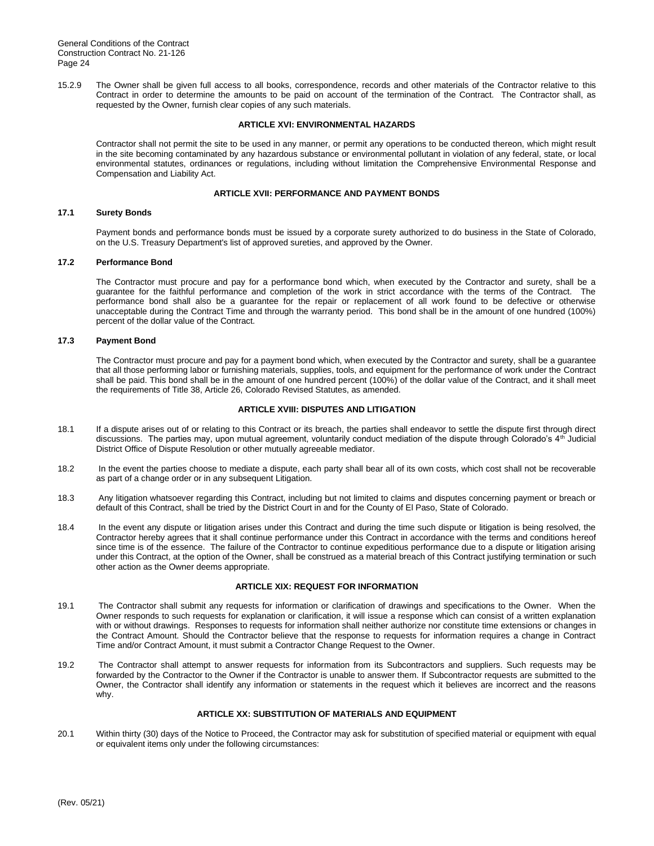15.2.9 The Owner shall be given full access to all books, correspondence, records and other materials of the Contractor relative to this Contract in order to determine the amounts to be paid on account of the termination of the Contract. The Contractor shall, as requested by the Owner, furnish clear copies of any such materials.

#### **ARTICLE XVI: ENVIRONMENTAL HAZARDS**

Contractor shall not permit the site to be used in any manner, or permit any operations to be conducted thereon, which might result in the site becoming contaminated by any hazardous substance or environmental pollutant in violation of any federal, state, or local environmental statutes, ordinances or regulations, including without limitation the Comprehensive Environmental Response and Compensation and Liability Act.

# **ARTICLE XVII: PERFORMANCE AND PAYMENT BONDS**

# **17.1 Surety Bonds**

Payment bonds and performance bonds must be issued by a corporate surety authorized to do business in the State of Colorado, on the U.S. Treasury Department's list of approved sureties, and approved by the Owner.

# **17.2 Performance Bond**

The Contractor must procure and pay for a performance bond which, when executed by the Contractor and surety, shall be a guarantee for the faithful performance and completion of the work in strict accordance with the terms of the Contract. The performance bond shall also be a guarantee for the repair or replacement of all work found to be defective or otherwise unacceptable during the Contract Time and through the warranty period. This bond shall be in the amount of one hundred (100%) percent of the dollar value of the Contract.

# **17.3 Payment Bond**

The Contractor must procure and pay for a payment bond which, when executed by the Contractor and surety, shall be a guarantee that all those performing labor or furnishing materials, supplies, tools, and equipment for the performance of work under the Contract shall be paid. This bond shall be in the amount of one hundred percent (100%) of the dollar value of the Contract, and it shall meet the requirements of Title 38, Article 26, Colorado Revised Statutes, as amended.

# **ARTICLE XVIII: DISPUTES AND LITIGATION**

- 18.1 If a dispute arises out of or relating to this Contract or its breach, the parties shall endeavor to settle the dispute first through direct discussions. The parties may, upon mutual agreement, voluntarily conduct mediation of the dispute through Colorado's 4<sup>th</sup> Judicial District Office of Dispute Resolution or other mutually agreeable mediator.
- 18.2 In the event the parties choose to mediate a dispute, each party shall bear all of its own costs, which cost shall not be recoverable as part of a change order or in any subsequent Litigation.
- 18.3 Any litigation whatsoever regarding this Contract, including but not limited to claims and disputes concerning payment or breach or default of this Contract, shall be tried by the District Court in and for the County of El Paso, State of Colorado.
- 18.4 In the event any dispute or litigation arises under this Contract and during the time such dispute or litigation is being resolved, the Contractor hereby agrees that it shall continue performance under this Contract in accordance with the terms and conditions hereof since time is of the essence. The failure of the Contractor to continue expeditious performance due to a dispute or litigation arising under this Contract, at the option of the Owner, shall be construed as a material breach of this Contract justifying termination or such other action as the Owner deems appropriate.

# **ARTICLE XIX: REQUEST FOR INFORMATION**

- 19.1 The Contractor shall submit any requests for information or clarification of drawings and specifications to the Owner. When the Owner responds to such requests for explanation or clarification, it will issue a response which can consist of a written explanation with or without drawings. Responses to requests for information shall neither authorize nor constitute time extensions or changes in the Contract Amount. Should the Contractor believe that the response to requests for information requires a change in Contract Time and/or Contract Amount, it must submit a Contractor Change Request to the Owner.
- 19.2 The Contractor shall attempt to answer requests for information from its Subcontractors and suppliers. Such requests may be forwarded by the Contractor to the Owner if the Contractor is unable to answer them. If Subcontractor requests are submitted to the Owner, the Contractor shall identify any information or statements in the request which it believes are incorrect and the reasons why.

# **ARTICLE XX: SUBSTITUTION OF MATERIALS AND EQUIPMENT**

20.1 Within thirty (30) days of the Notice to Proceed, the Contractor may ask for substitution of specified material or equipment with equal or equivalent items only under the following circumstances: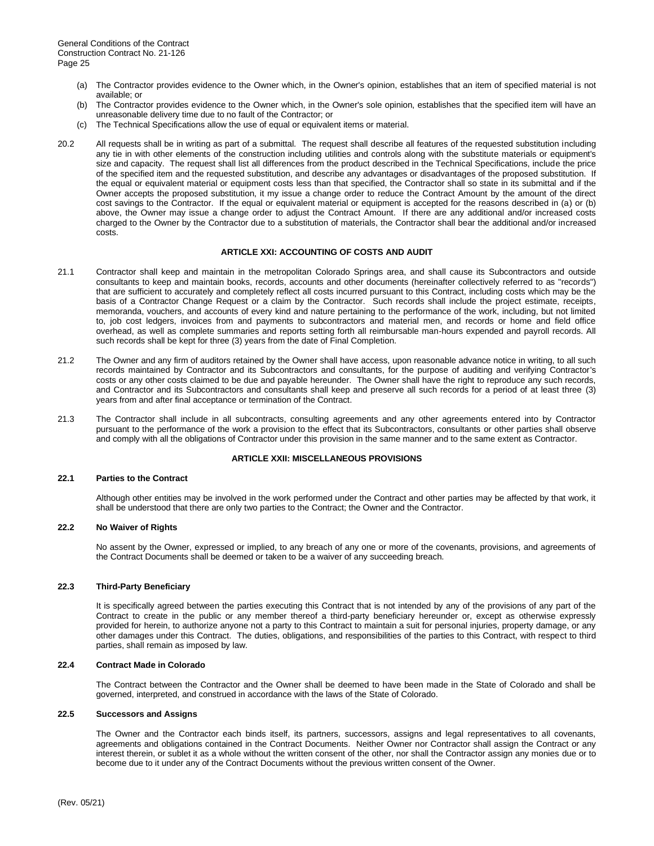- (a) The Contractor provides evidence to the Owner which, in the Owner's opinion, establishes that an item of specified material is not available; or
- (b) The Contractor provides evidence to the Owner which, in the Owner's sole opinion, establishes that the specified item will have an unreasonable delivery time due to no fault of the Contractor; or
- (c) The Technical Specifications allow the use of equal or equivalent items or material.
- 20.2 All requests shall be in writing as part of a submittal. The request shall describe all features of the requested substitution including any tie in with other elements of the construction including utilities and controls along with the substitute materials or equipment's size and capacity. The request shall list all differences from the product described in the Technical Specifications, include the price of the specified item and the requested substitution, and describe any advantages or disadvantages of the proposed substitution. If the equal or equivalent material or equipment costs less than that specified, the Contractor shall so state in its submittal and if the Owner accepts the proposed substitution, it my issue a change order to reduce the Contract Amount by the amount of the direct cost savings to the Contractor. If the equal or equivalent material or equipment is accepted for the reasons described in (a) or (b) above, the Owner may issue a change order to adjust the Contract Amount. If there are any additional and/or increased costs charged to the Owner by the Contractor due to a substitution of materials, the Contractor shall bear the additional and/or increased costs.

# **ARTICLE XXI: ACCOUNTING OF COSTS AND AUDIT**

- 21.1 Contractor shall keep and maintain in the metropolitan Colorado Springs area, and shall cause its Subcontractors and outside consultants to keep and maintain books, records, accounts and other documents (hereinafter collectively referred to as "records") that are sufficient to accurately and completely reflect all costs incurred pursuant to this Contract, including costs which may be the basis of a Contractor Change Request or a claim by the Contractor. Such records shall include the project estimate, receipts, memoranda, vouchers, and accounts of every kind and nature pertaining to the performance of the work, including, but not limited to, job cost ledgers, invoices from and payments to subcontractors and material men, and records or home and field office overhead, as well as complete summaries and reports setting forth all reimbursable man-hours expended and payroll records. All such records shall be kept for three (3) years from the date of Final Completion.
- 21.2 The Owner and any firm of auditors retained by the Owner shall have access, upon reasonable advance notice in writing, to all such records maintained by Contractor and its Subcontractors and consultants, for the purpose of auditing and verifying Contractor's costs or any other costs claimed to be due and payable hereunder. The Owner shall have the right to reproduce any such records, and Contractor and its Subcontractors and consultants shall keep and preserve all such records for a period of at least three (3) years from and after final acceptance or termination of the Contract.
- 21.3 The Contractor shall include in all subcontracts, consulting agreements and any other agreements entered into by Contractor pursuant to the performance of the work a provision to the effect that its Subcontractors, consultants or other parties shall observe and comply with all the obligations of Contractor under this provision in the same manner and to the same extent as Contractor.

#### **ARTICLE XXII: MISCELLANEOUS PROVISIONS**

#### **22.1 Parties to the Contract**

Although other entities may be involved in the work performed under the Contract and other parties may be affected by that work, it shall be understood that there are only two parties to the Contract; the Owner and the Contractor.

# **22.2 No Waiver of Rights**

No assent by the Owner, expressed or implied, to any breach of any one or more of the covenants, provisions, and agreements of the Contract Documents shall be deemed or taken to be a waiver of any succeeding breach.

# **22.3 Third-Party Beneficiary**

It is specifically agreed between the parties executing this Contract that is not intended by any of the provisions of any part of the Contract to create in the public or any member thereof a third-party beneficiary hereunder or, except as otherwise expressly provided for herein, to authorize anyone not a party to this Contract to maintain a suit for personal injuries, property damage, or any other damages under this Contract. The duties, obligations, and responsibilities of the parties to this Contract, with respect to third parties, shall remain as imposed by law.

#### **22.4 Contract Made in Colorado**

The Contract between the Contractor and the Owner shall be deemed to have been made in the State of Colorado and shall be governed, interpreted, and construed in accordance with the laws of the State of Colorado.

#### **22.5 Successors and Assigns**

The Owner and the Contractor each binds itself, its partners, successors, assigns and legal representatives to all covenants, agreements and obligations contained in the Contract Documents. Neither Owner nor Contractor shall assign the Contract or any interest therein, or sublet it as a whole without the written consent of the other, nor shall the Contractor assign any monies due or to become due to it under any of the Contract Documents without the previous written consent of the Owner.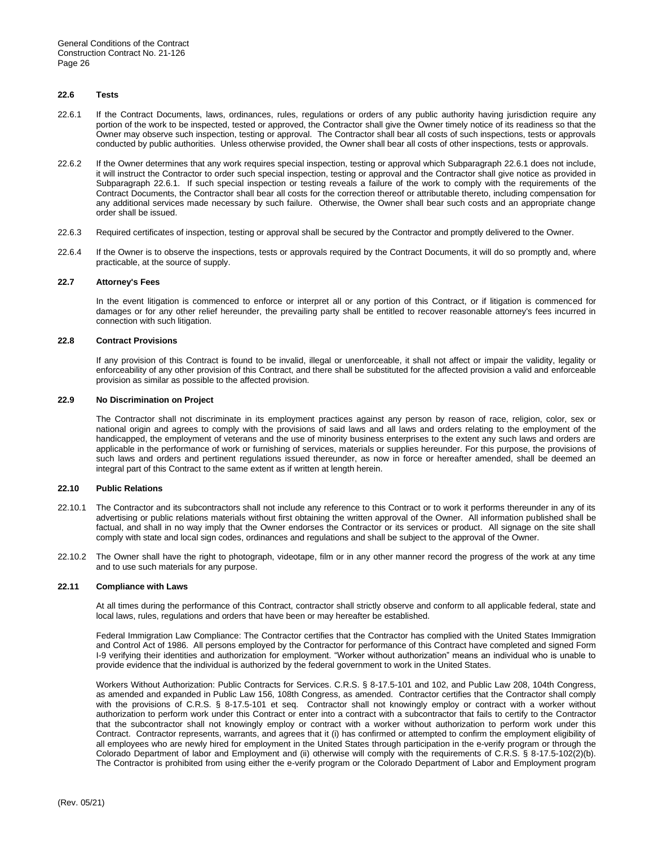### **22.6 Tests**

- 22.6.1 If the Contract Documents, laws, ordinances, rules, regulations or orders of any public authority having jurisdiction require any portion of the work to be inspected, tested or approved, the Contractor shall give the Owner timely notice of its readiness so that the Owner may observe such inspection, testing or approval.The Contractor shall bear all costs of such inspections, tests or approvals conducted by public authorities. Unless otherwise provided, the Owner shall bear all costs of other inspections, tests or approvals.
- 22.6.2 If the Owner determines that any work requires special inspection, testing or approval which Subparagraph 22.6.1 does not include, it will instruct the Contractor to order such special inspection, testing or approval and the Contractor shall give notice as provided in Subparagraph 22.6.1. If such special inspection or testing reveals a failure of the work to comply with the requirements of the Contract Documents, the Contractor shall bear all costs for the correction thereof or attributable thereto, including compensation for any additional services made necessary by such failure. Otherwise, the Owner shall bear such costs and an appropriate change order shall be issued.
- 22.6.3 Required certificates of inspection, testing or approval shall be secured by the Contractor and promptly delivered to the Owner.
- 22.6.4 If the Owner is to observe the inspections, tests or approvals required by the Contract Documents, it will do so promptly and, where practicable, at the source of supply.

#### **22.7 Attorney's Fees**

In the event litigation is commenced to enforce or interpret all or any portion of this Contract, or if litigation is commenced for damages or for any other relief hereunder, the prevailing party shall be entitled to recover reasonable attorney's fees incurred in connection with such litigation.

#### **22.8 Contract Provisions**

If any provision of this Contract is found to be invalid, illegal or unenforceable, it shall not affect or impair the validity, legality or enforceability of any other provision of this Contract, and there shall be substituted for the affected provision a valid and enforceable provision as similar as possible to the affected provision.

# **22.9 No Discrimination on Project**

The Contractor shall not discriminate in its employment practices against any person by reason of race, religion, color, sex or national origin and agrees to comply with the provisions of said laws and all laws and orders relating to the employment of the handicapped, the employment of veterans and the use of minority business enterprises to the extent any such laws and orders are applicable in the performance of work or furnishing of services, materials or supplies hereunder. For this purpose, the provisions of such laws and orders and pertinent regulations issued thereunder, as now in force or hereafter amended, shall be deemed an integral part of this Contract to the same extent as if written at length herein.

#### **22.10 Public Relations**

- 22.10.1 The Contractor and its subcontractors shall not include any reference to this Contract or to work it performs thereunder in any of its advertising or public relations materials without first obtaining the written approval of the Owner. All information published shall be factual, and shall in no way imply that the Owner endorses the Contractor or its services or product. All signage on the site shall comply with state and local sign codes, ordinances and regulations and shall be subject to the approval of the Owner.
- 22.10.2 The Owner shall have the right to photograph, videotape, film or in any other manner record the progress of the work at any time and to use such materials for any purpose.

# **22.11 Compliance with Laws**

At all times during the performance of this Contract, contractor shall strictly observe and conform to all applicable federal, state and local laws, rules, regulations and orders that have been or may hereafter be established.

Federal Immigration Law Compliance: The Contractor certifies that the Contractor has complied with the United States Immigration and Control Act of 1986. All persons employed by the Contractor for performance of this Contract have completed and signed Form I-9 verifying their identities and authorization for employment. "Worker without authorization" means an individual who is unable to provide evidence that the individual is authorized by the federal government to work in the United States.

Workers Without Authorization: Public Contracts for Services. C.R.S. § 8-17.5-101 and 102, and Public Law 208, 104th Congress, as amended and expanded in Public Law 156, 108th Congress, as amended. Contractor certifies that the Contractor shall comply with the provisions of C.R.S. § 8-17.5-101 et seq. Contractor shall not knowingly employ or contract with a worker without authorization to perform work under this Contract or enter into a contract with a subcontractor that fails to certify to the Contractor that the subcontractor shall not knowingly employ or contract with a worker without authorization to perform work under this Contract. Contractor represents, warrants, and agrees that it (i) has confirmed or attempted to confirm the employment eligibility of all employees who are newly hired for employment in the United States through participation in the e-verify program or through the Colorado Department of labor and Employment and (ii) otherwise will comply with the requirements of C.R.S. § 8-17.5-102(2)(b). The Contractor is prohibited from using either the e-verify program or the Colorado Department of Labor and Employment program